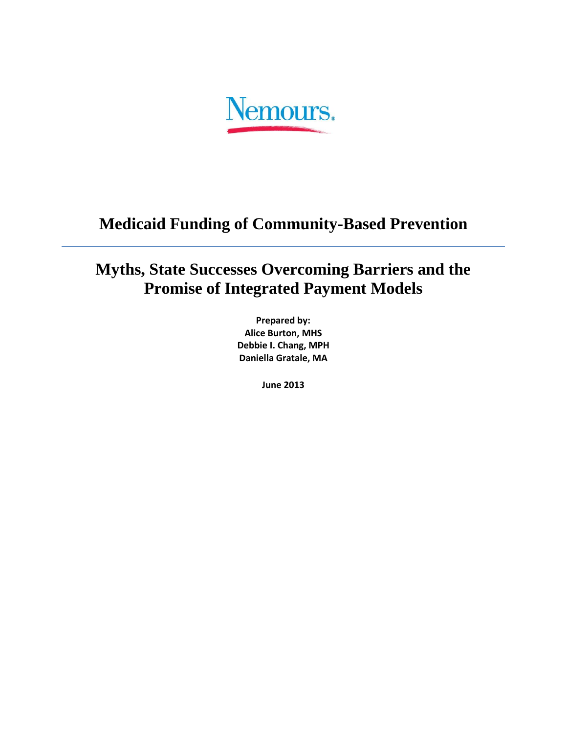Nemours.

# **Medicaid Funding of Community-Based Prevention**

# **Myths, State Successes Overcoming Barriers and the Promise of Integrated Payment Models**

**Prepared by: Alice Burton, MHS Debbie I. Chang, MPH Daniella Gratale, MA**

**June 2013**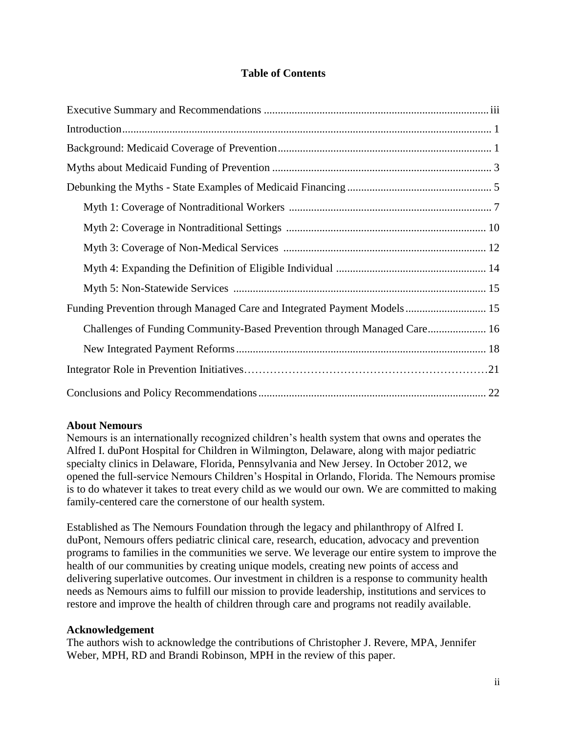#### **Table of Contents**

| Funding Prevention through Managed Care and Integrated Payment Models 15 |  |
|--------------------------------------------------------------------------|--|
| Challenges of Funding Community-Based Prevention through Managed Care 16 |  |
|                                                                          |  |
|                                                                          |  |
|                                                                          |  |

#### **About Nemours**

Nemours is an internationally recognized children's health system that owns and operates the Alfred I. duPont Hospital for Children in Wilmington, Delaware, along with major pediatric specialty clinics in Delaware, Florida, Pennsylvania and New Jersey. In October 2012, we opened the full-service Nemours Children's Hospital in Orlando, Florida. The Nemours promise is to do whatever it takes to treat every child as we would our own. We are committed to making family-centered care the cornerstone of our health system.

Established as The Nemours Foundation through the legacy and philanthropy of Alfred I. duPont, Nemours offers pediatric clinical care, research, education, advocacy and prevention programs to families in the communities we serve. We leverage our entire system to improve the health of our communities by creating unique models, creating new points of access and delivering superlative outcomes. Our investment in children is a response to community health needs as Nemours aims to fulfill our mission to provide leadership, institutions and services to restore and improve the health of children through care and programs not readily available.

#### **Acknowledgement**

The authors wish to acknowledge the contributions of Christopher J. Revere, MPA, Jennifer Weber, MPH, RD and Brandi Robinson, MPH in the review of this paper.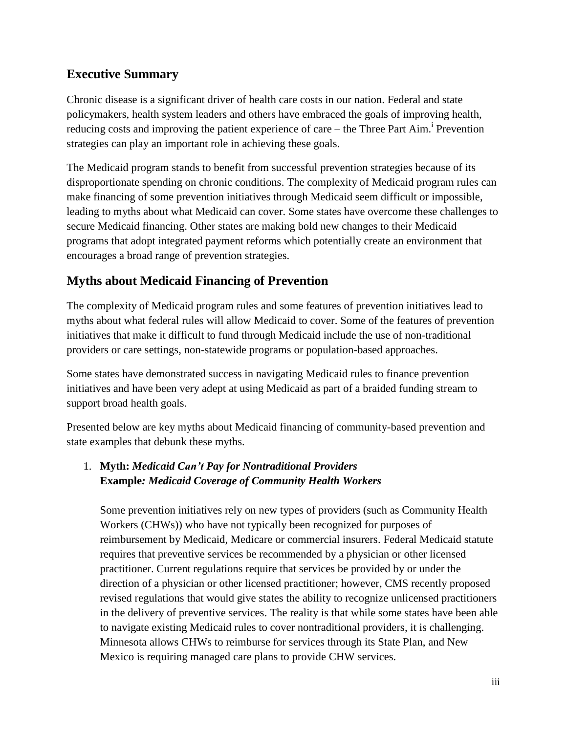# **Executive Summary**

Chronic disease is a significant driver of health care costs in our nation. Federal and state policymakers, health system leaders and others have embraced the goals of improving health, reducing costs and improving the patient experience of care – the Three Part Aim.<sup>i</sup> Prevention strategies can play an important role in achieving these goals.

The Medicaid program stands to benefit from successful prevention strategies because of its disproportionate spending on chronic conditions. The complexity of Medicaid program rules can make financing of some prevention initiatives through Medicaid seem difficult or impossible, leading to myths about what Medicaid can cover. Some states have overcome these challenges to secure Medicaid financing. Other states are making bold new changes to their Medicaid programs that adopt integrated payment reforms which potentially create an environment that encourages a broad range of prevention strategies.

# **Myths about Medicaid Financing of Prevention**

The complexity of Medicaid program rules and some features of prevention initiatives lead to myths about what federal rules will allow Medicaid to cover. Some of the features of prevention initiatives that make it difficult to fund through Medicaid include the use of non-traditional providers or care settings, non-statewide programs or population-based approaches.

Some states have demonstrated success in navigating Medicaid rules to finance prevention initiatives and have been very adept at using Medicaid as part of a braided funding stream to support broad health goals.

Presented below are key myths about Medicaid financing of community-based prevention and state examples that debunk these myths.

## 1. **Myth:** *Medicaid Can't Pay for Nontraditional Providers* **Example***: Medicaid Coverage of Community Health Workers*

Some prevention initiatives rely on new types of providers (such as Community Health Workers (CHWs)) who have not typically been recognized for purposes of reimbursement by Medicaid, Medicare or commercial insurers. Federal Medicaid statute requires that preventive services be recommended by a physician or other licensed practitioner. Current regulations require that services be provided by or under the direction of a physician or other licensed practitioner; however, CMS recently proposed revised regulations that would give states the ability to recognize unlicensed practitioners in the delivery of preventive services. The reality is that while some states have been able to navigate existing Medicaid rules to cover nontraditional providers, it is challenging. Minnesota allows CHWs to reimburse for services through its State Plan, and New Mexico is requiring managed care plans to provide CHW services.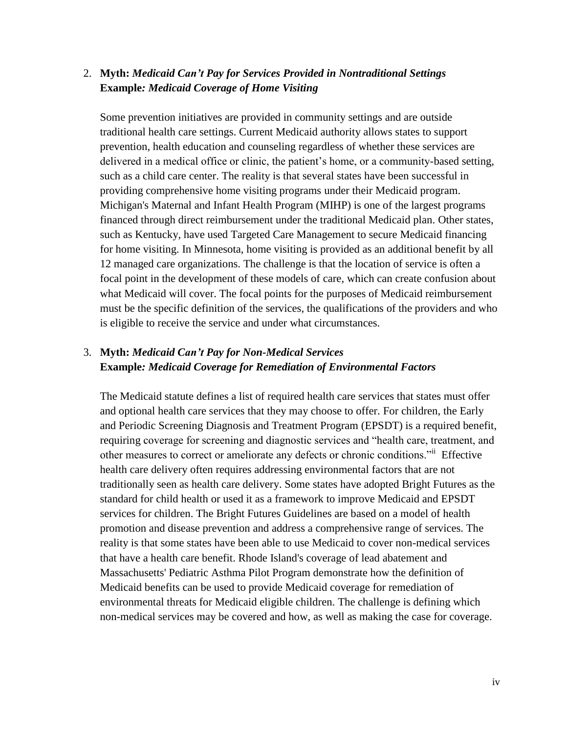### 2. **Myth:** *Medicaid Can't Pay for Services Provided in Nontraditional Settings* **Example***: Medicaid Coverage of Home Visiting*

Some prevention initiatives are provided in community settings and are outside traditional health care settings. Current Medicaid authority allows states to support prevention, health education and counseling regardless of whether these services are delivered in a medical office or clinic, the patient's home, or a community-based setting, such as a child care center. The reality is that several states have been successful in providing comprehensive home visiting programs under their Medicaid program. Michigan's Maternal and Infant Health Program (MIHP) is one of the largest programs financed through direct reimbursement under the traditional Medicaid plan. Other states, such as Kentucky, have used Targeted Care Management to secure Medicaid financing for home visiting. In Minnesota, home visiting is provided as an additional benefit by all 12 managed care organizations. The challenge is that the location of service is often a focal point in the development of these models of care, which can create confusion about what Medicaid will cover. The focal points for the purposes of Medicaid reimbursement must be the specific definition of the services, the qualifications of the providers and who is eligible to receive the service and under what circumstances.

### 3. **Myth:** *Medicaid Can't Pay for Non-Medical Services* **Example***: Medicaid Coverage for Remediation of Environmental Factors*

The Medicaid statute defines a list of required health care services that states must offer and optional health care services that they may choose to offer. For children, the Early and Periodic Screening Diagnosis and Treatment Program (EPSDT) is a required benefit, requiring coverage for screening and diagnostic services and "health care, treatment, and other measures to correct or ameliorate any defects or chronic conditions."ii Effective health care delivery often requires addressing environmental factors that are not traditionally seen as health care delivery. Some states have adopted Bright Futures as the standard for child health or used it as a framework to improve Medicaid and EPSDT services for children. The Bright Futures Guidelines are based on a model of health promotion and disease prevention and address a comprehensive range of services. The reality is that some states have been able to use Medicaid to cover non-medical services that have a health care benefit. Rhode Island's coverage of lead abatement and Massachusetts' Pediatric Asthma Pilot Program demonstrate how the definition of Medicaid benefits can be used to provide Medicaid coverage for remediation of environmental threats for Medicaid eligible children. The challenge is defining which non-medical services may be covered and how, as well as making the case for coverage.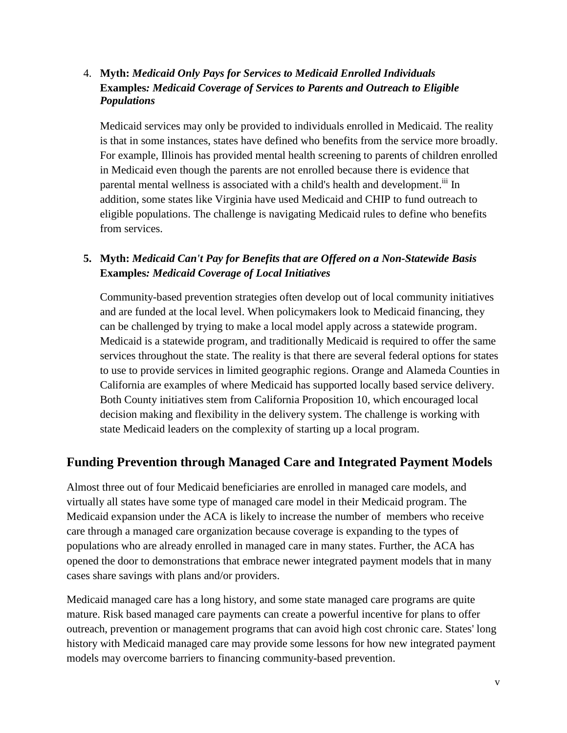### 4. **Myth:** *Medicaid Only Pays for Services to Medicaid Enrolled Individuals* **Examples***: Medicaid Coverage of Services to Parents and Outreach to Eligible Populations*

Medicaid services may only be provided to individuals enrolled in Medicaid. The reality is that in some instances, states have defined who benefits from the service more broadly. For example, Illinois has provided mental health screening to parents of children enrolled in Medicaid even though the parents are not enrolled because there is evidence that parental mental wellness is associated with a child's health and development.<sup>iii</sup> In addition, some states like Virginia have used Medicaid and CHIP to fund outreach to eligible populations. The challenge is navigating Medicaid rules to define who benefits from services.

### **5. Myth:** *Medicaid Can't Pay for Benefits that are Offered on a Non-Statewide Basis* **Examples***: Medicaid Coverage of Local Initiatives*

Community-based prevention strategies often develop out of local community initiatives and are funded at the local level. When policymakers look to Medicaid financing, they can be challenged by trying to make a local model apply across a statewide program. Medicaid is a statewide program, and traditionally Medicaid is required to offer the same services throughout the state. The reality is that there are several federal options for states to use to provide services in limited geographic regions. Orange and Alameda Counties in California are examples of where Medicaid has supported locally based service delivery. Both County initiatives stem from California Proposition 10, which encouraged local decision making and flexibility in the delivery system. The challenge is working with state Medicaid leaders on the complexity of starting up a local program.

# **Funding Prevention through Managed Care and Integrated Payment Models**

Almost three out of four Medicaid beneficiaries are enrolled in managed care models, and virtually all states have some type of managed care model in their Medicaid program. The Medicaid expansion under the ACA is likely to increase the number of members who receive care through a managed care organization because coverage is expanding to the types of populations who are already enrolled in managed care in many states. Further, the ACA has opened the door to demonstrations that embrace newer integrated payment models that in many cases share savings with plans and/or providers.

Medicaid managed care has a long history, and some state managed care programs are quite mature. Risk based managed care payments can create a powerful incentive for plans to offer outreach, prevention or management programs that can avoid high cost chronic care. States' long history with Medicaid managed care may provide some lessons for how new integrated payment models may overcome barriers to financing community-based prevention.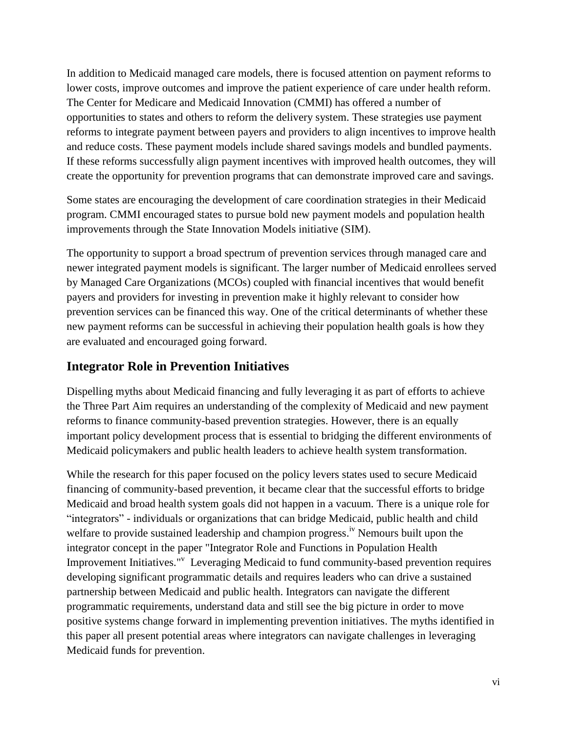In addition to Medicaid managed care models, there is focused attention on payment reforms to lower costs, improve outcomes and improve the patient experience of care under health reform. The Center for Medicare and Medicaid Innovation (CMMI) has offered a number of opportunities to states and others to reform the delivery system. These strategies use payment reforms to integrate payment between payers and providers to align incentives to improve health and reduce costs. These payment models include shared savings models and bundled payments. If these reforms successfully align payment incentives with improved health outcomes, they will create the opportunity for prevention programs that can demonstrate improved care and savings.

Some states are encouraging the development of care coordination strategies in their Medicaid program. CMMI encouraged states to pursue bold new payment models and population health improvements through the State Innovation Models initiative (SIM).

The opportunity to support a broad spectrum of prevention services through managed care and newer integrated payment models is significant. The larger number of Medicaid enrollees served by Managed Care Organizations (MCOs) coupled with financial incentives that would benefit payers and providers for investing in prevention make it highly relevant to consider how prevention services can be financed this way. One of the critical determinants of whether these new payment reforms can be successful in achieving their population health goals is how they are evaluated and encouraged going forward.

# **Integrator Role in Prevention Initiatives**

Dispelling myths about Medicaid financing and fully leveraging it as part of efforts to achieve the Three Part Aim requires an understanding of the complexity of Medicaid and new payment reforms to finance community-based prevention strategies. However, there is an equally important policy development process that is essential to bridging the different environments of Medicaid policymakers and public health leaders to achieve health system transformation.

While the research for this paper focused on the policy levers states used to secure Medicaid financing of community-based prevention, it became clear that the successful efforts to bridge Medicaid and broad health system goals did not happen in a vacuum. There is a unique role for "integrators" - individuals or organizations that can bridge Medicaid, public health and child welfare to provide sustained leadership and champion progress.<sup>iv</sup> Nemours built upon the integrator concept in the paper "Integrator Role and Functions in Population Health Improvement Initiatives." Leveraging Medicaid to fund community-based prevention requires developing significant programmatic details and requires leaders who can drive a sustained partnership between Medicaid and public health. Integrators can navigate the different programmatic requirements, understand data and still see the big picture in order to move positive systems change forward in implementing prevention initiatives. The myths identified in this paper all present potential areas where integrators can navigate challenges in leveraging Medicaid funds for prevention.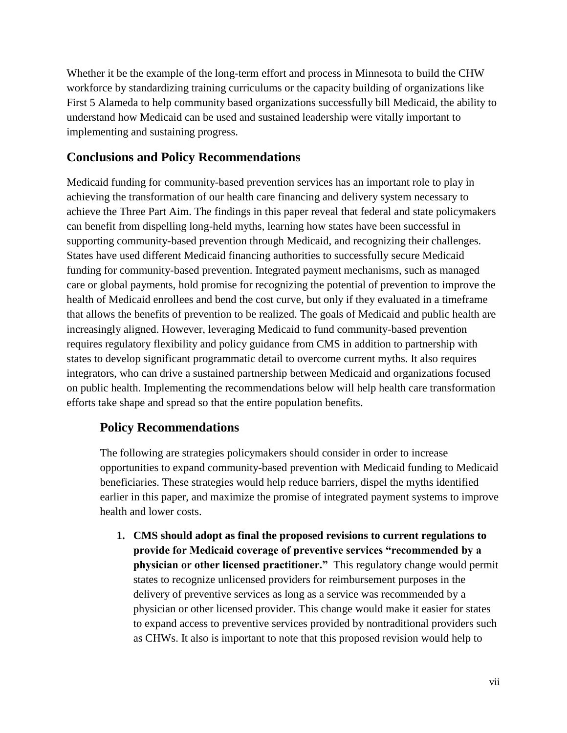Whether it be the example of the long-term effort and process in Minnesota to build the CHW workforce by standardizing training curriculums or the capacity building of organizations like First 5 Alameda to help community based organizations successfully bill Medicaid, the ability to understand how Medicaid can be used and sustained leadership were vitally important to implementing and sustaining progress.

# **Conclusions and Policy Recommendations**

Medicaid funding for community-based prevention services has an important role to play in achieving the transformation of our health care financing and delivery system necessary to achieve the Three Part Aim. The findings in this paper reveal that federal and state policymakers can benefit from dispelling long-held myths, learning how states have been successful in supporting community-based prevention through Medicaid, and recognizing their challenges. States have used different Medicaid financing authorities to successfully secure Medicaid funding for community-based prevention. Integrated payment mechanisms, such as managed care or global payments, hold promise for recognizing the potential of prevention to improve the health of Medicaid enrollees and bend the cost curve, but only if they evaluated in a timeframe that allows the benefits of prevention to be realized. The goals of Medicaid and public health are increasingly aligned. However, leveraging Medicaid to fund community-based prevention requires regulatory flexibility and policy guidance from CMS in addition to partnership with states to develop significant programmatic detail to overcome current myths. It also requires integrators, who can drive a sustained partnership between Medicaid and organizations focused on public health. Implementing the recommendations below will help health care transformation efforts take shape and spread so that the entire population benefits.

### **Policy Recommendations**

The following are strategies policymakers should consider in order to increase opportunities to expand community-based prevention with Medicaid funding to Medicaid beneficiaries. These strategies would help reduce barriers, dispel the myths identified earlier in this paper, and maximize the promise of integrated payment systems to improve health and lower costs.

**1. CMS should adopt as final the proposed revisions to current regulations to provide for Medicaid coverage of preventive services "recommended by a physician or other licensed practitioner."** This regulatory change would permit states to recognize unlicensed providers for reimbursement purposes in the delivery of preventive services as long as a service was recommended by a physician or other licensed provider. This change would make it easier for states to expand access to preventive services provided by nontraditional providers such as CHWs. It also is important to note that this proposed revision would help to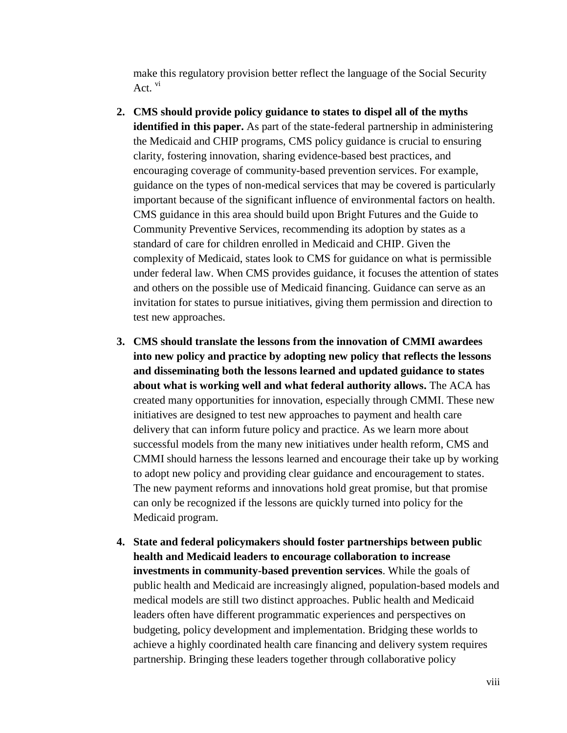make this regulatory provision better reflect the language of the Social Security Act.  $\mathrm{v}$ <sup> $\mathrm{i}$ </sup>

- **2. CMS should provide policy guidance to states to dispel all of the myths identified in this paper.** As part of the state-federal partnership in administering the Medicaid and CHIP programs, CMS policy guidance is crucial to ensuring clarity, fostering innovation, sharing evidence-based best practices, and encouraging coverage of community-based prevention services. For example, guidance on the types of non-medical services that may be covered is particularly important because of the significant influence of environmental factors on health. CMS guidance in this area should build upon Bright Futures and the Guide to Community Preventive Services, recommending its adoption by states as a standard of care for children enrolled in Medicaid and CHIP. Given the complexity of Medicaid, states look to CMS for guidance on what is permissible under federal law. When CMS provides guidance, it focuses the attention of states and others on the possible use of Medicaid financing. Guidance can serve as an invitation for states to pursue initiatives, giving them permission and direction to test new approaches.
- **3. CMS should translate the lessons from the innovation of CMMI awardees into new policy and practice by adopting new policy that reflects the lessons and disseminating both the lessons learned and updated guidance to states about what is working well and what federal authority allows.** The ACA has created many opportunities for innovation, especially through CMMI. These new initiatives are designed to test new approaches to payment and health care delivery that can inform future policy and practice. As we learn more about successful models from the many new initiatives under health reform, CMS and CMMI should harness the lessons learned and encourage their take up by working to adopt new policy and providing clear guidance and encouragement to states. The new payment reforms and innovations hold great promise, but that promise can only be recognized if the lessons are quickly turned into policy for the Medicaid program.
- **4. State and federal policymakers should foster partnerships between public health and Medicaid leaders to encourage collaboration to increase investments in community-based prevention services**. While the goals of public health and Medicaid are increasingly aligned, population-based models and medical models are still two distinct approaches. Public health and Medicaid leaders often have different programmatic experiences and perspectives on budgeting, policy development and implementation. Bridging these worlds to achieve a highly coordinated health care financing and delivery system requires partnership. Bringing these leaders together through collaborative policy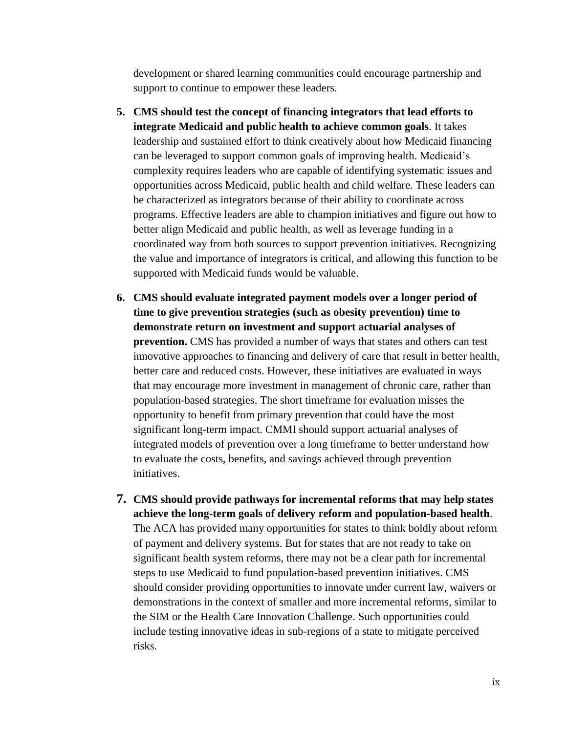development or shared learning communities could encourage partnership and support to continue to empower these leaders.

- **5. CMS should test the concept of financing integrators that lead efforts to integrate Medicaid and public health to achieve common goals**. It takes leadership and sustained effort to think creatively about how Medicaid financing can be leveraged to support common goals of improving health. Medicaid's complexity requires leaders who are capable of identifying systematic issues and opportunities across Medicaid, public health and child welfare. These leaders can be characterized as integrators because of their ability to coordinate across programs. Effective leaders are able to champion initiatives and figure out how to better align Medicaid and public health, as well as leverage funding in a coordinated way from both sources to support prevention initiatives. Recognizing the value and importance of integrators is critical, and allowing this function to be supported with Medicaid funds would be valuable.
- **6. CMS should evaluate integrated payment models over a longer period of time to give prevention strategies (such as obesity prevention) time to demonstrate return on investment and support actuarial analyses of prevention.** CMS has provided a number of ways that states and others can test innovative approaches to financing and delivery of care that result in better health, better care and reduced costs. However, these initiatives are evaluated in ways that may encourage more investment in management of chronic care, rather than population-based strategies. The short timeframe for evaluation misses the opportunity to benefit from primary prevention that could have the most significant long-term impact. CMMI should support actuarial analyses of integrated models of prevention over a long timeframe to better understand how to evaluate the costs, benefits, and savings achieved through prevention initiatives.
- **7. CMS should provide pathways for incremental reforms that may help states achieve the long-term goals of delivery reform and population-based health**. The ACA has provided many opportunities for states to think boldly about reform of payment and delivery systems. But for states that are not ready to take on significant health system reforms, there may not be a clear path for incremental steps to use Medicaid to fund population-based prevention initiatives. CMS should consider providing opportunities to innovate under current law, waivers or demonstrations in the context of smaller and more incremental reforms, similar to the SIM or the Health Care Innovation Challenge. Such opportunities could include testing innovative ideas in sub-regions of a state to mitigate perceived risks.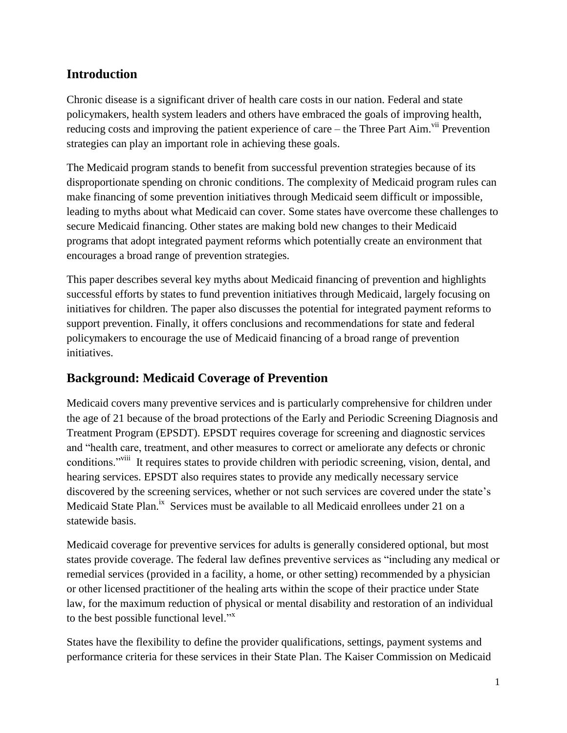# **Introduction**

Chronic disease is a significant driver of health care costs in our nation. Federal and state policymakers, health system leaders and others have embraced the goals of improving health, reducing costs and improving the patient experience of care – the Three Part Aim.<sup>vii</sup> Prevention strategies can play an important role in achieving these goals.

The Medicaid program stands to benefit from successful prevention strategies because of its disproportionate spending on chronic conditions. The complexity of Medicaid program rules can make financing of some prevention initiatives through Medicaid seem difficult or impossible, leading to myths about what Medicaid can cover. Some states have overcome these challenges to secure Medicaid financing. Other states are making bold new changes to their Medicaid programs that adopt integrated payment reforms which potentially create an environment that encourages a broad range of prevention strategies.

This paper describes several key myths about Medicaid financing of prevention and highlights successful efforts by states to fund prevention initiatives through Medicaid, largely focusing on initiatives for children. The paper also discusses the potential for integrated payment reforms to support prevention. Finally, it offers conclusions and recommendations for state and federal policymakers to encourage the use of Medicaid financing of a broad range of prevention initiatives.

# **Background: Medicaid Coverage of Prevention**

Medicaid covers many preventive services and is particularly comprehensive for children under the age of 21 because of the broad protections of the Early and Periodic Screening Diagnosis and Treatment Program (EPSDT). EPSDT requires coverage for screening and diagnostic services and "health care, treatment, and other measures to correct or ameliorate any defects or chronic conditions."<sup>viii</sup> It requires states to provide children with periodic screening, vision, dental, and hearing services. EPSDT also requires states to provide any medically necessary service discovered by the screening services, whether or not such services are covered under the state's Medicaid State Plan.<sup>ix</sup> Services must be available to all Medicaid enrollees under 21 on a statewide basis.

Medicaid coverage for preventive services for adults is generally considered optional, but most states provide coverage. The federal law defines preventive services as "including any medical or remedial services (provided in a facility, a home, or other setting) recommended by a physician or other licensed practitioner of the healing arts within the scope of their practice under State law, for the maximum reduction of physical or mental disability and restoration of an individual to the best possible functional level."<sup>x</sup>

States have the flexibility to define the provider qualifications, settings, payment systems and performance criteria for these services in their State Plan. The Kaiser Commission on Medicaid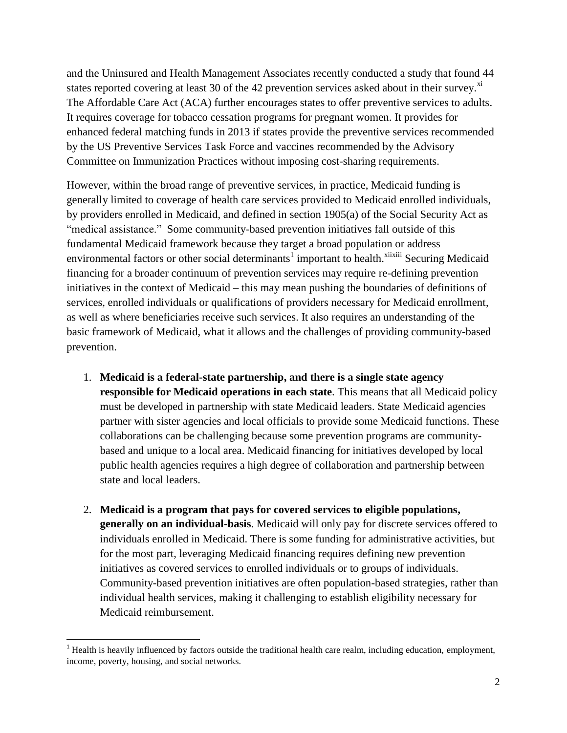and the Uninsured and Health Management Associates recently conducted a study that found 44 states reported covering at least 30 of the 42 prevention services asked about in their survey. $^{x}$ The Affordable Care Act (ACA) further encourages states to offer preventive services to adults. It requires coverage for tobacco cessation programs for pregnant women. It provides for enhanced federal matching funds in 2013 if states provide the preventive services recommended by the US Preventive Services Task Force and vaccines recommended by the Advisory Committee on Immunization Practices without imposing cost-sharing requirements.

However, within the broad range of preventive services, in practice, Medicaid funding is generally limited to coverage of health care services provided to Medicaid enrolled individuals, by providers enrolled in Medicaid, and defined in section 1905(a) of the Social Security Act as "medical assistance." Some community-based prevention initiatives fall outside of this fundamental Medicaid framework because they target a broad population or address environmental factors or other social determinants<sup>1</sup> important to health.<sup>xiixiii</sup> Securing Medicaid financing for a broader continuum of prevention services may require re-defining prevention initiatives in the context of Medicaid – this may mean pushing the boundaries of definitions of services, enrolled individuals or qualifications of providers necessary for Medicaid enrollment, as well as where beneficiaries receive such services. It also requires an understanding of the basic framework of Medicaid, what it allows and the challenges of providing community-based prevention.

- 1. **Medicaid is a federal-state partnership, and there is a single state agency responsible for Medicaid operations in each state**. This means that all Medicaid policy must be developed in partnership with state Medicaid leaders. State Medicaid agencies partner with sister agencies and local officials to provide some Medicaid functions. These collaborations can be challenging because some prevention programs are communitybased and unique to a local area. Medicaid financing for initiatives developed by local public health agencies requires a high degree of collaboration and partnership between state and local leaders.
- 2. **Medicaid is a program that pays for covered services to eligible populations, generally on an individual-basis**. Medicaid will only pay for discrete services offered to individuals enrolled in Medicaid. There is some funding for administrative activities, but for the most part, leveraging Medicaid financing requires defining new prevention initiatives as covered services to enrolled individuals or to groups of individuals. Community-based prevention initiatives are often population-based strategies, rather than individual health services, making it challenging to establish eligibility necessary for Medicaid reimbursement.

l

<sup>&</sup>lt;sup>1</sup> Health is heavily influenced by factors outside the traditional health care realm, including education, employment, income, poverty, housing, and social networks.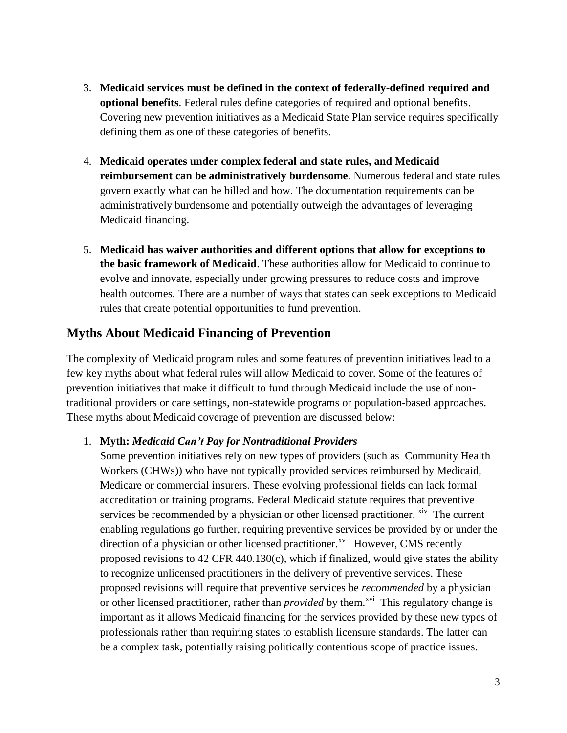- 3. **Medicaid services must be defined in the context of federally-defined required and optional benefits**. Federal rules define categories of required and optional benefits. Covering new prevention initiatives as a Medicaid State Plan service requires specifically defining them as one of these categories of benefits.
- 4. **Medicaid operates under complex federal and state rules, and Medicaid reimbursement can be administratively burdensome**. Numerous federal and state rules govern exactly what can be billed and how. The documentation requirements can be administratively burdensome and potentially outweigh the advantages of leveraging Medicaid financing.
- 5. **Medicaid has waiver authorities and different options that allow for exceptions to the basic framework of Medicaid**. These authorities allow for Medicaid to continue to evolve and innovate, especially under growing pressures to reduce costs and improve health outcomes. There are a number of ways that states can seek exceptions to Medicaid rules that create potential opportunities to fund prevention.

# **Myths About Medicaid Financing of Prevention**

The complexity of Medicaid program rules and some features of prevention initiatives lead to a few key myths about what federal rules will allow Medicaid to cover. Some of the features of prevention initiatives that make it difficult to fund through Medicaid include the use of nontraditional providers or care settings, non-statewide programs or population-based approaches. These myths about Medicaid coverage of prevention are discussed below:

#### 1. **Myth:** *Medicaid Can't Pay for Nontraditional Providers*

Some prevention initiatives rely on new types of providers (such as Community Health Workers (CHWs)) who have not typically provided services reimbursed by Medicaid, Medicare or commercial insurers. These evolving professional fields can lack formal accreditation or training programs. Federal Medicaid statute requires that preventive services be recommended by a physician or other licensed practitioner. xiv The current enabling regulations go further, requiring preventive services be provided by or under the direction of a physician or other licensed practitioner.<sup>xv</sup> However, CMS recently proposed revisions to 42 CFR 440.130(c), which if finalized, would give states the ability to recognize unlicensed practitioners in the delivery of preventive services. These proposed revisions will require that preventive services be *recommended* by a physician or other licensed practitioner, rather than *provided* by them.<sup>xvi</sup> This regulatory change is important as it allows Medicaid financing for the services provided by these new types of professionals rather than requiring states to establish licensure standards. The latter can be a complex task, potentially raising politically contentious scope of practice issues.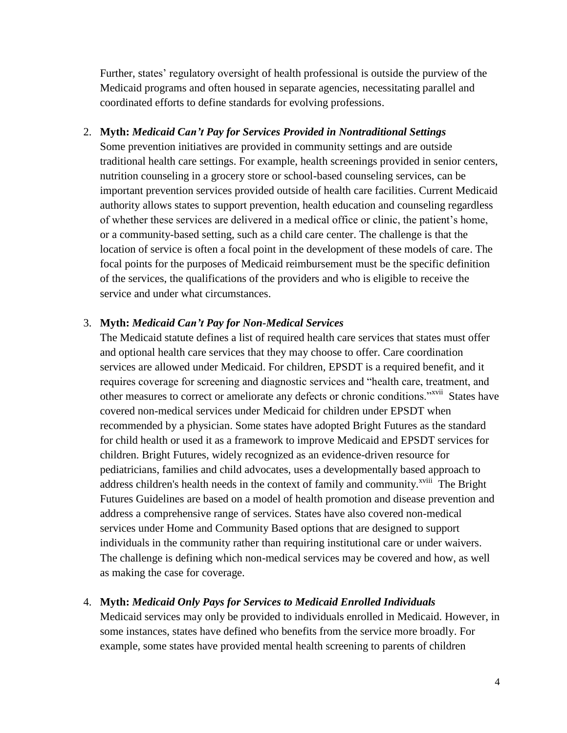Further, states' regulatory oversight of health professional is outside the purview of the Medicaid programs and often housed in separate agencies, necessitating parallel and coordinated efforts to define standards for evolving professions.

#### 2. **Myth:** *Medicaid Can't Pay for Services Provided in Nontraditional Settings*

Some prevention initiatives are provided in community settings and are outside traditional health care settings. For example, health screenings provided in senior centers, nutrition counseling in a grocery store or school-based counseling services, can be important prevention services provided outside of health care facilities. Current Medicaid authority allows states to support prevention, health education and counseling regardless of whether these services are delivered in a medical office or clinic, the patient's home, or a community-based setting, such as a child care center. The challenge is that the location of service is often a focal point in the development of these models of care. The focal points for the purposes of Medicaid reimbursement must be the specific definition of the services, the qualifications of the providers and who is eligible to receive the service and under what circumstances.

#### 3. **Myth:** *Medicaid Can't Pay for Non-Medical Services*

The Medicaid statute defines a list of required health care services that states must offer and optional health care services that they may choose to offer. Care coordination services are allowed under Medicaid. For children, EPSDT is a required benefit, and it requires coverage for screening and diagnostic services and "health care, treatment, and other measures to correct or ameliorate any defects or chronic conditions."<sup>xvii</sup> States have covered non-medical services under Medicaid for children under EPSDT when recommended by a physician. Some states have adopted Bright Futures as the standard for child health or used it as a framework to improve Medicaid and EPSDT services for children. Bright Futures, widely recognized as an evidence-driven resource for pediatricians, families and child advocates, uses a developmentally based approach to address children's health needs in the context of family and community.<sup>xviii</sup> The Bright Futures Guidelines are based on a model of health promotion and disease prevention and address a comprehensive range of services. States have also covered non-medical services under Home and Community Based options that are designed to support individuals in the community rather than requiring institutional care or under waivers. The challenge is defining which non-medical services may be covered and how, as well as making the case for coverage.

#### 4. **Myth:** *Medicaid Only Pays for Services to Medicaid Enrolled Individuals*

Medicaid services may only be provided to individuals enrolled in Medicaid. However, in some instances, states have defined who benefits from the service more broadly. For example, some states have provided mental health screening to parents of children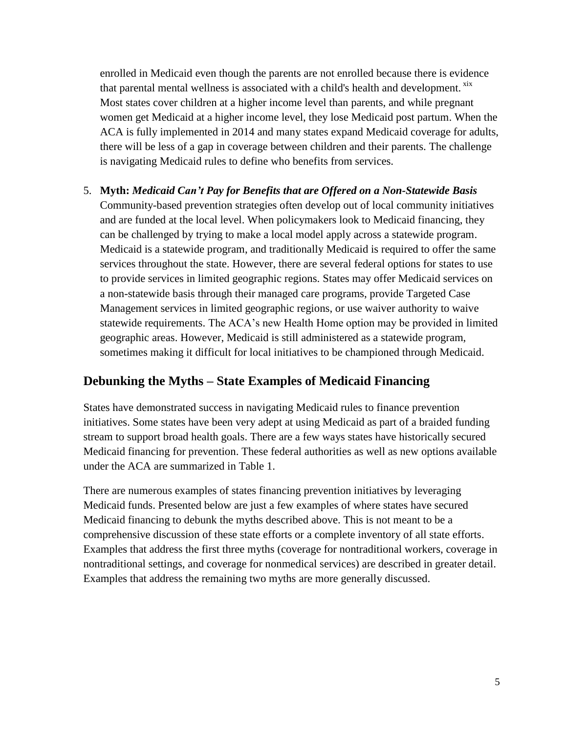enrolled in Medicaid even though the parents are not enrolled because there is evidence that parental mental wellness is associated with a child's health and development. <sup>xix</sup> Most states cover children at a higher income level than parents, and while pregnant women get Medicaid at a higher income level, they lose Medicaid post partum. When the ACA is fully implemented in 2014 and many states expand Medicaid coverage for adults, there will be less of a gap in coverage between children and their parents. The challenge is navigating Medicaid rules to define who benefits from services.

5. **Myth:** *Medicaid Can't Pay for Benefits that are Offered on a Non-Statewide Basis* Community-based prevention strategies often develop out of local community initiatives and are funded at the local level. When policymakers look to Medicaid financing, they can be challenged by trying to make a local model apply across a statewide program. Medicaid is a statewide program, and traditionally Medicaid is required to offer the same services throughout the state. However, there are several federal options for states to use to provide services in limited geographic regions. States may offer Medicaid services on a non-statewide basis through their managed care programs, provide Targeted Case Management services in limited geographic regions, or use waiver authority to waive statewide requirements. The ACA's new Health Home option may be provided in limited geographic areas. However, Medicaid is still administered as a statewide program, sometimes making it difficult for local initiatives to be championed through Medicaid.

# **Debunking the Myths – State Examples of Medicaid Financing**

States have demonstrated success in navigating Medicaid rules to finance prevention initiatives. Some states have been very adept at using Medicaid as part of a braided funding stream to support broad health goals. There are a few ways states have historically secured Medicaid financing for prevention. These federal authorities as well as new options available under the ACA are summarized in Table 1.

There are numerous examples of states financing prevention initiatives by leveraging Medicaid funds. Presented below are just a few examples of where states have secured Medicaid financing to debunk the myths described above. This is not meant to be a comprehensive discussion of these state efforts or a complete inventory of all state efforts. Examples that address the first three myths (coverage for nontraditional workers, coverage in nontraditional settings, and coverage for nonmedical services) are described in greater detail. Examples that address the remaining two myths are more generally discussed.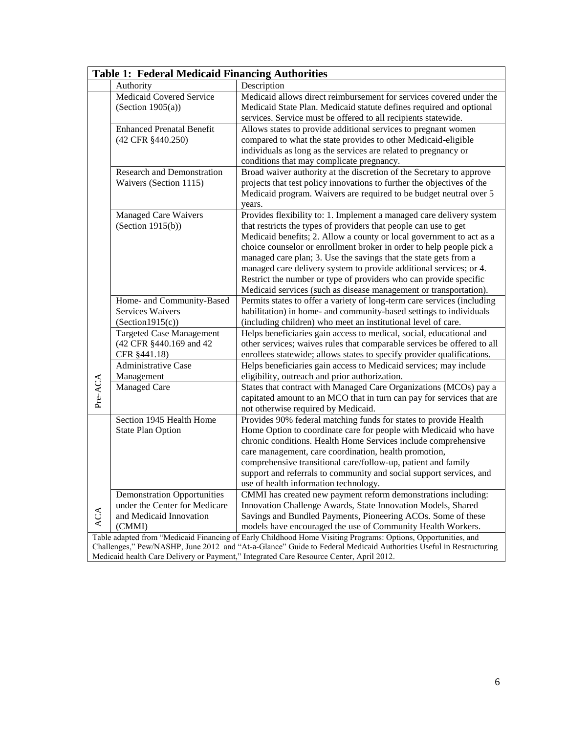| Table 1: Federal Medicaid Financing Authorities                                                                   |                                    |                                                                         |  |  |  |
|-------------------------------------------------------------------------------------------------------------------|------------------------------------|-------------------------------------------------------------------------|--|--|--|
|                                                                                                                   | Authority                          | Description                                                             |  |  |  |
|                                                                                                                   | <b>Medicaid Covered Service</b>    | Medicaid allows direct reimbursement for services covered under the     |  |  |  |
|                                                                                                                   | (Section $1905(a)$ )               | Medicaid State Plan. Medicaid statute defines required and optional     |  |  |  |
|                                                                                                                   |                                    | services. Service must be offered to all recipients statewide.          |  |  |  |
|                                                                                                                   | <b>Enhanced Prenatal Benefit</b>   | Allows states to provide additional services to pregnant women          |  |  |  |
|                                                                                                                   | (42 CFR §440.250)                  | compared to what the state provides to other Medicaid-eligible          |  |  |  |
|                                                                                                                   |                                    | individuals as long as the services are related to pregnancy or         |  |  |  |
|                                                                                                                   |                                    | conditions that may complicate pregnancy.                               |  |  |  |
|                                                                                                                   | <b>Research and Demonstration</b>  | Broad waiver authority at the discretion of the Secretary to approve    |  |  |  |
|                                                                                                                   | Waivers (Section 1115)             | projects that test policy innovations to further the objectives of the  |  |  |  |
|                                                                                                                   |                                    | Medicaid program. Waivers are required to be budget neutral over 5      |  |  |  |
|                                                                                                                   |                                    | years.                                                                  |  |  |  |
|                                                                                                                   | <b>Managed Care Waivers</b>        | Provides flexibility to: 1. Implement a managed care delivery system    |  |  |  |
|                                                                                                                   | (Section $1915(b)$ )               | that restricts the types of providers that people can use to get        |  |  |  |
|                                                                                                                   |                                    | Medicaid benefits; 2. Allow a county or local government to act as a    |  |  |  |
|                                                                                                                   |                                    | choice counselor or enrollment broker in order to help people pick a    |  |  |  |
|                                                                                                                   |                                    | managed care plan; 3. Use the savings that the state gets from a        |  |  |  |
|                                                                                                                   |                                    | managed care delivery system to provide additional services; or 4.      |  |  |  |
|                                                                                                                   |                                    | Restrict the number or type of providers who can provide specific       |  |  |  |
|                                                                                                                   |                                    | Medicaid services (such as disease management or transportation).       |  |  |  |
|                                                                                                                   | Home- and Community-Based          | Permits states to offer a variety of long-term care services (including |  |  |  |
|                                                                                                                   | Services Waivers                   | habilitation) in home- and community-based settings to individuals      |  |  |  |
|                                                                                                                   | (Section 1915(c))                  | (including children) who meet an institutional level of care.           |  |  |  |
|                                                                                                                   | <b>Targeted Case Management</b>    | Helps beneficiaries gain access to medical, social, educational and     |  |  |  |
|                                                                                                                   | (42 CFR §440.169 and 42            | other services; waives rules that comparable services be offered to all |  |  |  |
|                                                                                                                   | CFR §441.18)                       | enrollees statewide; allows states to specify provider qualifications.  |  |  |  |
|                                                                                                                   | <b>Administrative Case</b>         | Helps beneficiaries gain access to Medicaid services; may include       |  |  |  |
|                                                                                                                   | Management                         | eligibility, outreach and prior authorization.                          |  |  |  |
| Pre-ACA                                                                                                           | <b>Managed Care</b>                | States that contract with Managed Care Organizations (MCOs) pay a       |  |  |  |
|                                                                                                                   |                                    | capitated amount to an MCO that in turn can pay for services that are   |  |  |  |
|                                                                                                                   |                                    | not otherwise required by Medicaid.                                     |  |  |  |
|                                                                                                                   | Section 1945 Health Home           | Provides 90% federal matching funds for states to provide Health        |  |  |  |
|                                                                                                                   | <b>State Plan Option</b>           | Home Option to coordinate care for people with Medicaid who have        |  |  |  |
|                                                                                                                   |                                    | chronic conditions. Health Home Services include comprehensive          |  |  |  |
|                                                                                                                   |                                    | care management, care coordination, health promotion,                   |  |  |  |
|                                                                                                                   |                                    | comprehensive transitional care/follow-up, patient and family           |  |  |  |
|                                                                                                                   |                                    | support and referrals to community and social support services, and     |  |  |  |
|                                                                                                                   |                                    | use of health information technology.                                   |  |  |  |
| ACA                                                                                                               | <b>Demonstration Opportunities</b> | CMMI has created new payment reform demonstrations including:           |  |  |  |
|                                                                                                                   | under the Center for Medicare      | Innovation Challenge Awards, State Innovation Models, Shared            |  |  |  |
|                                                                                                                   | and Medicaid Innovation            | Savings and Bundled Payments, Pioneering ACOs. Some of these            |  |  |  |
|                                                                                                                   | (CMMI)                             | models have encouraged the use of Community Health Workers.             |  |  |  |
| Table adapted from "Medicaid Financing of Early Childhood Home Visiting Programs: Options, Opportunities, and     |                                    |                                                                         |  |  |  |
| Challenges," Pew/NASHP, June 2012 and "At-a-Glance" Guide to Federal Medicaid Authorities Useful in Restructuring |                                    |                                                                         |  |  |  |

Medicaid health Care Delivery or Payment," Integrated Care Resource Center, April 2012.

#### **Table 1: Federal Medicaid Financing Authorities**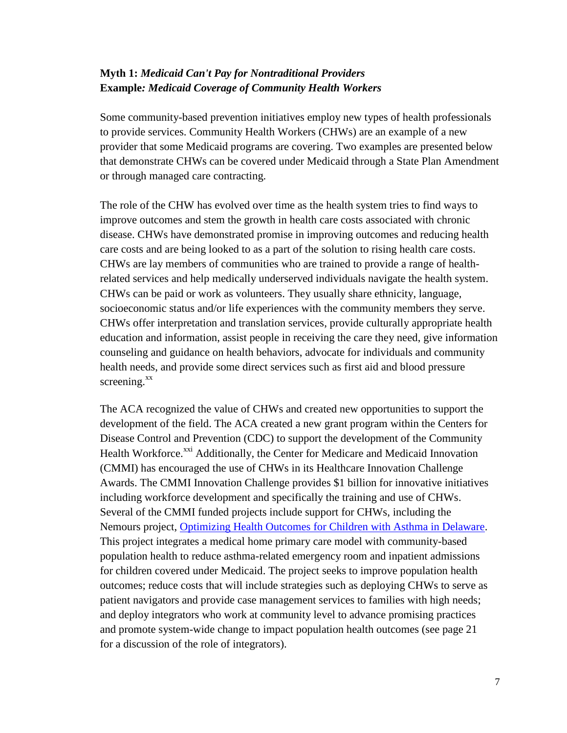### **Myth 1:** *Medicaid Can't Pay for Nontraditional Providers* **Example***: Medicaid Coverage of Community Health Workers*

Some community-based prevention initiatives employ new types of health professionals to provide services. Community Health Workers (CHWs) are an example of a new provider that some Medicaid programs are covering. Two examples are presented below that demonstrate CHWs can be covered under Medicaid through a State Plan Amendment or through managed care contracting.

The role of the CHW has evolved over time as the health system tries to find ways to improve outcomes and stem the growth in health care costs associated with chronic disease. CHWs have demonstrated promise in improving outcomes and reducing health care costs and are being looked to as a part of the solution to rising health care costs. CHWs are lay members of communities who are trained to provide a range of healthrelated services and help medically underserved individuals navigate the health system. CHWs can be paid or work as volunteers. They usually share ethnicity, language, socioeconomic status and/or life experiences with the community members they serve. CHWs offer interpretation and translation services, provide culturally appropriate health education and information, assist people in receiving the care they need, give information counseling and guidance on health behaviors, advocate for individuals and community health needs, and provide some direct services such as first aid and blood pressure screening. $^{xx}$ 

The ACA recognized the value of CHWs and created new opportunities to support the development of the field. The ACA created a new grant program within the Centers for Disease Control and Prevention (CDC) to support the development of the Community Health Workforce.<sup>xxi</sup> Additionally, the Center for Medicare and Medicaid Innovation (CMMI) has encouraged the use of CHWs in its Healthcare Innovation Challenge Awards. The CMMI Innovation Challenge provides \$1 billion for innovative initiatives including workforce development and specifically the training and use of CHWs. Several of the CMMI funded projects include support for CHWs, including the Nemours project, [Optimizing Health Outcomes for Children with Asthma in Delaware.](http://news.delaware.gov/2012/06/18/optimizing-health-outcomes-for-children-with-asthma-in-delaware/) This project integrates a medical home primary care model with community-based population health to reduce asthma-related emergency room and inpatient admissions for children covered under Medicaid. The project seeks to improve population health outcomes; reduce costs that will include strategies such as deploying CHWs to serve as patient navigators and provide case management services to families with high needs; and deploy integrators who work at community level to advance promising practices and promote system-wide change to impact population health outcomes (see page 21 for a discussion of the role of integrators).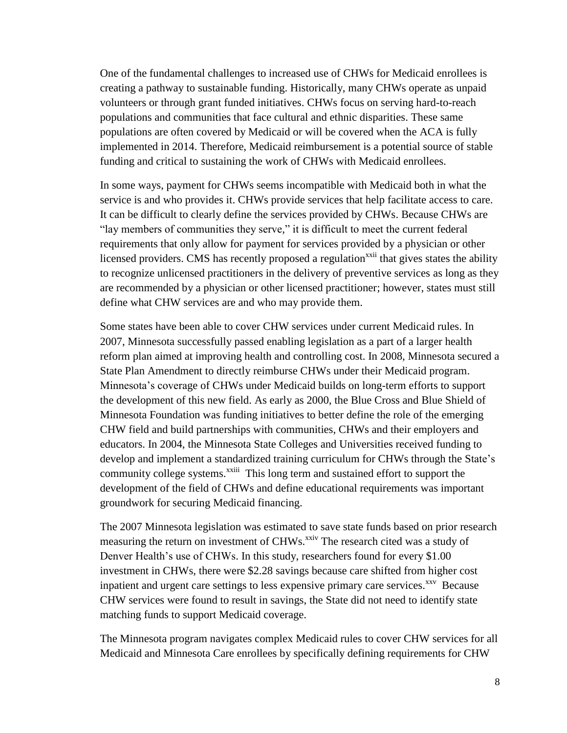One of the fundamental challenges to increased use of CHWs for Medicaid enrollees is creating a pathway to sustainable funding. Historically, many CHWs operate as unpaid volunteers or through grant funded initiatives. CHWs focus on serving hard-to-reach populations and communities that face cultural and ethnic disparities. These same populations are often covered by Medicaid or will be covered when the ACA is fully implemented in 2014. Therefore, Medicaid reimbursement is a potential source of stable funding and critical to sustaining the work of CHWs with Medicaid enrollees.

In some ways, payment for CHWs seems incompatible with Medicaid both in what the service is and who provides it. CHWs provide services that help facilitate access to care. It can be difficult to clearly define the services provided by CHWs. Because CHWs are "lay members of communities they serve," it is difficult to meet the current federal requirements that only allow for payment for services provided by a physician or other licensed providers. CMS has recently proposed a regulation<sup>xxii</sup> that gives states the ability to recognize unlicensed practitioners in the delivery of preventive services as long as they are recommended by a physician or other licensed practitioner; however, states must still define what CHW services are and who may provide them.

Some states have been able to cover CHW services under current Medicaid rules. In 2007, Minnesota successfully passed enabling legislation as a part of a larger health reform plan aimed at improving health and controlling cost. In 2008, Minnesota secured a State Plan Amendment to directly reimburse CHWs under their Medicaid program. Minnesota's coverage of CHWs under Medicaid builds on long-term efforts to support the development of this new field. As early as 2000, the Blue Cross and Blue Shield of Minnesota Foundation was funding initiatives to better define the role of the emerging CHW field and build partnerships with communities, CHWs and their employers and educators. In 2004, the Minnesota State Colleges and Universities received funding to develop and implement a standardized training curriculum for CHWs through the State's community college systems.<sup>xxiii</sup> This long term and sustained effort to support the development of the field of CHWs and define educational requirements was important groundwork for securing Medicaid financing.

The 2007 Minnesota legislation was estimated to save state funds based on prior research measuring the return on investment of CHWs.<sup>xxiv</sup> The research cited was a study of Denver Health's use of CHWs. In this study, researchers found for every \$1.00 investment in CHWs, there were \$2.28 savings because care shifted from higher cost inpatient and urgent care settings to less expensive primary care services.<sup>xxv</sup> Because CHW services were found to result in savings, the State did not need to identify state matching funds to support Medicaid coverage.

The Minnesota program navigates complex Medicaid rules to cover CHW services for all Medicaid and Minnesota Care enrollees by specifically defining requirements for CHW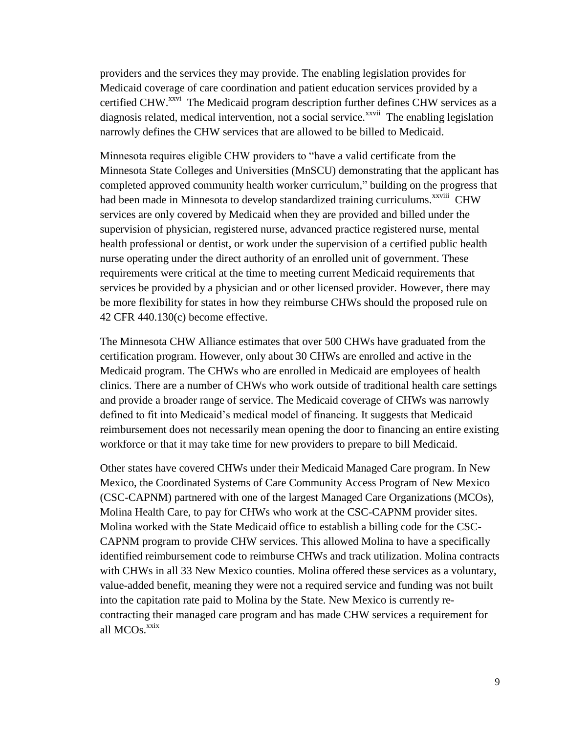providers and the services they may provide. The enabling legislation provides for Medicaid coverage of care coordination and patient education services provided by a certified CHW.<sup>xxvi</sup> The Medicaid program description further defines CHW services as a diagnosis related, medical intervention, not a social service.<sup>xxvii</sup> The enabling legislation narrowly defines the CHW services that are allowed to be billed to Medicaid.

Minnesota requires eligible CHW providers to "have a valid certificate from the Minnesota State Colleges and Universities (MnSCU) demonstrating that the applicant has completed approved community health worker curriculum," building on the progress that had been made in Minnesota to develop standardized training curriculums.<sup>xxviii</sup> CHW services are only covered by Medicaid when they are provided and billed under the supervision of physician, registered nurse, advanced practice registered nurse, mental health professional or dentist, or work under the supervision of a certified public health nurse operating under the direct authority of an enrolled unit of government. These requirements were critical at the time to meeting current Medicaid requirements that services be provided by a physician and or other licensed provider. However, there may be more flexibility for states in how they reimburse CHWs should the proposed rule on 42 CFR 440.130(c) become effective.

The Minnesota CHW Alliance estimates that over 500 CHWs have graduated from the certification program. However, only about 30 CHWs are enrolled and active in the Medicaid program. The CHWs who are enrolled in Medicaid are employees of health clinics. There are a number of CHWs who work outside of traditional health care settings and provide a broader range of service. The Medicaid coverage of CHWs was narrowly defined to fit into Medicaid's medical model of financing. It suggests that Medicaid reimbursement does not necessarily mean opening the door to financing an entire existing workforce or that it may take time for new providers to prepare to bill Medicaid.

Other states have covered CHWs under their Medicaid Managed Care program. In New Mexico, the Coordinated Systems of Care Community Access Program of New Mexico (CSC-CAPNM) partnered with one of the largest Managed Care Organizations (MCOs), Molina Health Care, to pay for CHWs who work at the CSC-CAPNM provider sites. Molina worked with the State Medicaid office to establish a billing code for the CSC-CAPNM program to provide CHW services. This allowed Molina to have a specifically identified reimbursement code to reimburse CHWs and track utilization. Molina contracts with CHWs in all 33 New Mexico counties. Molina offered these services as a voluntary, value-added benefit, meaning they were not a required service and funding was not built into the capitation rate paid to Molina by the State. New Mexico is currently recontracting their managed care program and has made CHW services a requirement for all  $MCOs$ . $x$ xix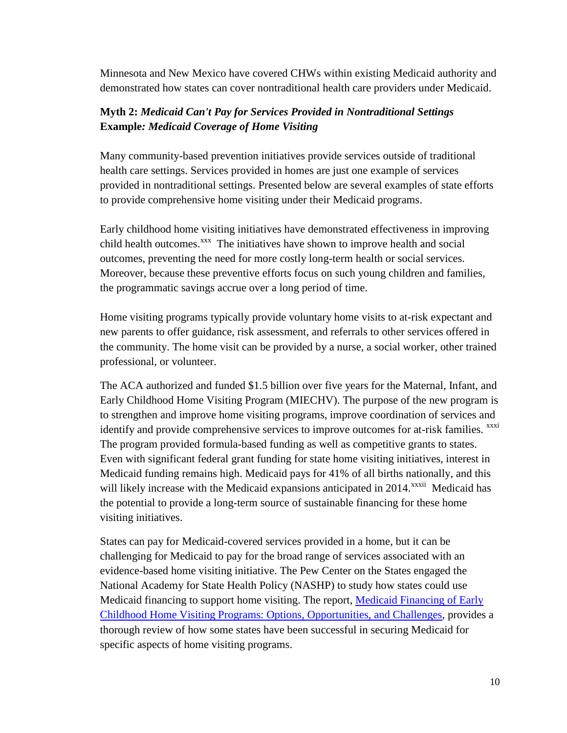Minnesota and New Mexico have covered CHWs within existing Medicaid authority and demonstrated how states can cover nontraditional health care providers under Medicaid.

### **Myth 2:** *Medicaid Can't Pay for Services Provided in Nontraditional Settings* **Example***: Medicaid Coverage of Home Visiting*

Many community-based prevention initiatives provide services outside of traditional health care settings. Services provided in homes are just one example of services provided in nontraditional settings. Presented below are several examples of state efforts to provide comprehensive home visiting under their Medicaid programs.

Early childhood home visiting initiatives have demonstrated effectiveness in improving child health outcomes.<sup>xxx</sup> The initiatives have shown to improve health and social outcomes, preventing the need for more costly long-term health or social services. Moreover, because these preventive efforts focus on such young children and families, the programmatic savings accrue over a long period of time.

Home visiting programs typically provide voluntary home visits to at-risk expectant and new parents to offer guidance, risk assessment, and referrals to other services offered in the community. The home visit can be provided by a nurse, a social worker, other trained professional, or volunteer.

The ACA authorized and funded \$1.5 billion over five years for the Maternal, Infant, and Early Childhood Home Visiting Program (MIECHV). The purpose of the new program is to strengthen and improve home visiting programs, improve coordination of services and identify and provide comprehensive services to improve outcomes for at-risk families. <sup>xxxi</sup> The program provided formula-based funding as well as competitive grants to states. Even with significant federal grant funding for state home visiting initiatives, interest in Medicaid funding remains high. Medicaid pays for 41% of all births nationally, and this will likely increase with the Medicaid expansions anticipated in 2014.<sup>xxxii</sup> Medicaid has the potential to provide a long-term source of sustainable financing for these home visiting initiatives.

States can pay for Medicaid-covered services provided in a home, but it can be challenging for Medicaid to pay for the broad range of services associated with an evidence-based home visiting initiative. The Pew Center on the States engaged the National Academy for State Health Policy (NASHP) to study how states could use Medicaid financing to support home visiting. The report, Medicaid Financing of Early [Childhood Home Visiting Programs: Options, Opportunities, and Challenges,](http://www.pewstates.org/research/reports/medicaid-financing-of-early-childhood-home-visiting-programs-85899401369) provides a thorough review of how some states have been successful in securing Medicaid for specific aspects of home visiting programs.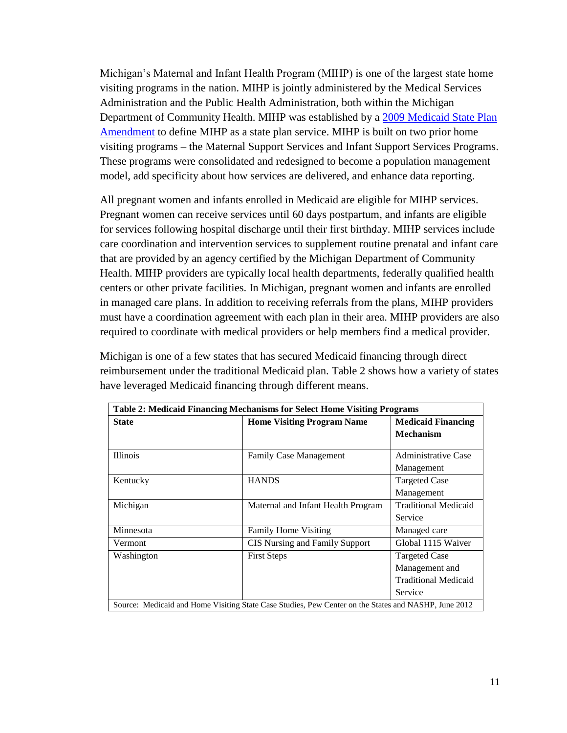Michigan's Maternal and Infant Health Program (MIHP) is one of the largest state home visiting programs in the nation. MIHP is jointly administered by the Medical Services Administration and the Public Health Administration, both within the Michigan Department of Community Health. MIHP was established by a [2009 Medicaid State Plan](http://www.medicaid.gov/State-Resource-Center/Medicaid-State-Plan-Amendments/Medicaid-State-Plan-Amendments.html?filterBy=michigan)  [Amendment](http://www.medicaid.gov/State-Resource-Center/Medicaid-State-Plan-Amendments/Medicaid-State-Plan-Amendments.html?filterBy=michigan) to define MIHP as a state plan service. MIHP is built on two prior home visiting programs – the Maternal Support Services and Infant Support Services Programs. These programs were consolidated and redesigned to become a population management model, add specificity about how services are delivered, and enhance data reporting.

All pregnant women and infants enrolled in Medicaid are eligible for MIHP services. Pregnant women can receive services until 60 days postpartum, and infants are eligible for services following hospital discharge until their first birthday. MIHP services include care coordination and intervention services to supplement routine prenatal and infant care that are provided by an agency certified by the Michigan Department of Community Health. MIHP providers are typically local health departments, federally qualified health centers or other private facilities. In Michigan, pregnant women and infants are enrolled in managed care plans. In addition to receiving referrals from the plans, MIHP providers must have a coordination agreement with each plan in their area. MIHP providers are also required to coordinate with medical providers or help members find a medical provider.

Michigan is one of a few states that has secured Medicaid financing through direct reimbursement under the traditional Medicaid plan. Table 2 shows how a variety of states have leveraged Medicaid financing through different means.

| <b>Table 2: Medicaid Financing Mechanisms for Select Home Visiting Programs</b>                      |                                       |                             |  |  |
|------------------------------------------------------------------------------------------------------|---------------------------------------|-----------------------------|--|--|
| <b>State</b>                                                                                         | <b>Home Visiting Program Name</b>     | <b>Medicaid Financing</b>   |  |  |
|                                                                                                      |                                       | <b>Mechanism</b>            |  |  |
| <b>Illinois</b>                                                                                      | <b>Family Case Management</b>         | <b>Administrative Case</b>  |  |  |
|                                                                                                      |                                       | Management                  |  |  |
| Kentucky                                                                                             | <b>HANDS</b>                          | <b>Targeted Case</b>        |  |  |
|                                                                                                      |                                       | Management                  |  |  |
| Michigan                                                                                             | Maternal and Infant Health Program    | <b>Traditional Medicaid</b> |  |  |
|                                                                                                      |                                       | Service                     |  |  |
| Minnesota                                                                                            | <b>Family Home Visiting</b>           | Managed care                |  |  |
| Vermont.                                                                                             | <b>CIS</b> Nursing and Family Support | Global 1115 Waiver          |  |  |
| Washington                                                                                           | <b>First Steps</b>                    | <b>Targeted Case</b>        |  |  |
|                                                                                                      |                                       | Management and              |  |  |
|                                                                                                      |                                       | <b>Traditional Medicaid</b> |  |  |
|                                                                                                      |                                       | Service                     |  |  |
| Source: Medicaid and Home Visiting State Case Studies, Pew Center on the States and NASHP, June 2012 |                                       |                             |  |  |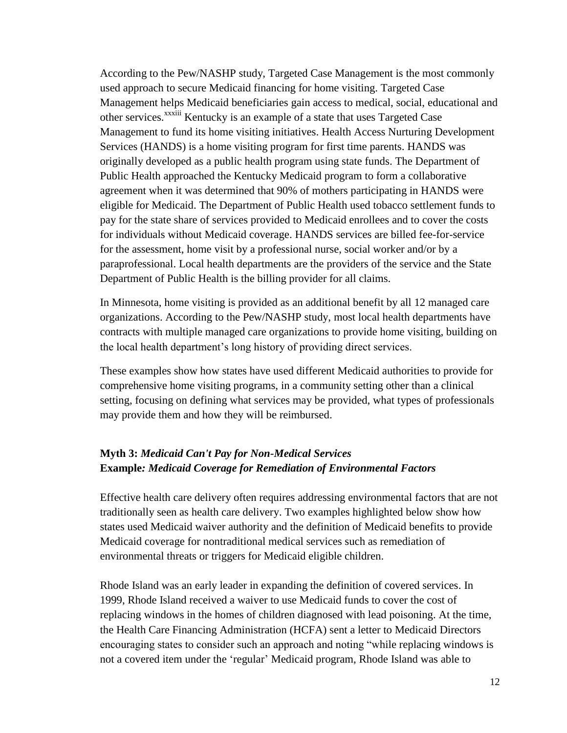According to the Pew/NASHP study, Targeted Case Management is the most commonly used approach to secure Medicaid financing for home visiting. Targeted Case Management helps Medicaid beneficiaries gain access to medical, social, educational and other services.<sup>xxxiii</sup> Kentucky is an example of a state that uses Targeted Case Management to fund its home visiting initiatives. Health Access Nurturing Development Services (HANDS) is a home visiting program for first time parents. HANDS was originally developed as a public health program using state funds. The Department of Public Health approached the Kentucky Medicaid program to form a collaborative agreement when it was determined that 90% of mothers participating in HANDS were eligible for Medicaid. The Department of Public Health used tobacco settlement funds to pay for the state share of services provided to Medicaid enrollees and to cover the costs for individuals without Medicaid coverage. HANDS services are billed fee-for-service for the assessment, home visit by a professional nurse, social worker and/or by a paraprofessional. Local health departments are the providers of the service and the State Department of Public Health is the billing provider for all claims.

In Minnesota, home visiting is provided as an additional benefit by all 12 managed care organizations. According to the Pew/NASHP study, most local health departments have contracts with multiple managed care organizations to provide home visiting, building on the local health department's long history of providing direct services.

These examples show how states have used different Medicaid authorities to provide for comprehensive home visiting programs, in a community setting other than a clinical setting, focusing on defining what services may be provided, what types of professionals may provide them and how they will be reimbursed.

### **Myth 3:** *Medicaid Can't Pay for Non-Medical Services*  **Example***: Medicaid Coverage for Remediation of Environmental Factors*

Effective health care delivery often requires addressing environmental factors that are not traditionally seen as health care delivery. Two examples highlighted below show how states used Medicaid waiver authority and the definition of Medicaid benefits to provide Medicaid coverage for nontraditional medical services such as remediation of environmental threats or triggers for Medicaid eligible children.

Rhode Island was an early leader in expanding the definition of covered services. In 1999, Rhode Island received a waiver to use Medicaid funds to cover the cost of replacing windows in the homes of children diagnosed with lead poisoning. At the time, the Health Care Financing Administration (HCFA) sent a letter to Medicaid Directors encouraging states to consider such an approach and noting "while replacing windows is not a covered item under the 'regular' Medicaid program, Rhode Island was able to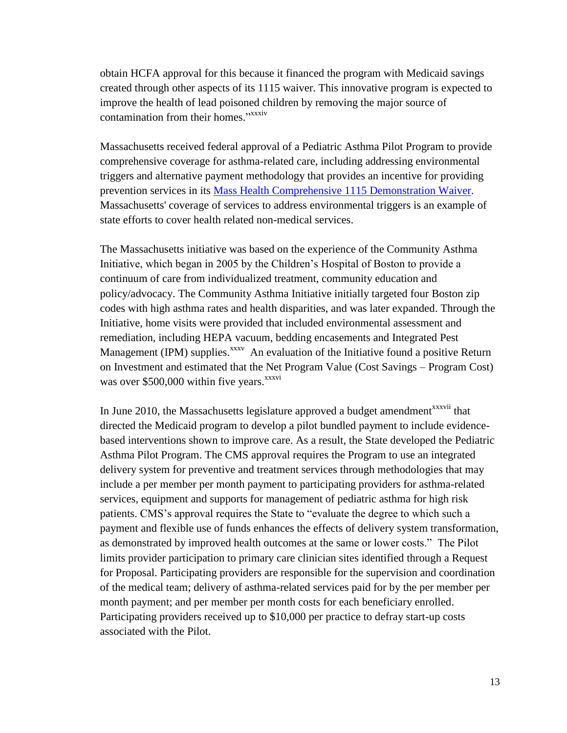obtain HCFA approval for this because it financed the program with Medicaid savings created through other aspects of its 1115 waiver. This innovative program is expected to improve the health of lead poisoned children by removing the major source of contamination from their homes."<sup>xxxiv</sup>

Massachusetts received federal approval of a Pediatric Asthma Pilot Program to provide comprehensive coverage for asthma-related care, including addressing environmental triggers and alternative payment methodology that provides an incentive for providing prevention services in its [Mass Health Comprehensive 1115 Demonstration Waiver.](http://www.medicaid.gov/Medicaid-CHIP-Program-Information/By-Topics/Waivers/Downloads/MassHealthCurrentApprovalDocuments.pdf) Massachusetts' coverage of services to address environmental triggers is an example of state efforts to cover health related non-medical services.

The Massachusetts initiative was based on the experience of the Community Asthma Initiative, which began in 2005 by the Children's Hospital of Boston to provide a continuum of care from individualized treatment, community education and policy/advocacy. The Community Asthma Initiative initially targeted four Boston zip codes with high asthma rates and health disparities, and was later expanded. Through the Initiative, home visits were provided that included environmental assessment and remediation, including HEPA vacuum, bedding encasements and Integrated Pest Management (IPM) supplies.<sup>xxxv</sup> An evaluation of the Initiative found a positive Return on Investment and estimated that the Net Program Value (Cost Savings – Program Cost) was over  $$500,000$  within five years.<sup>xxxvi</sup>

In June 2010, the Massachusetts legislature approved a budget amendment<sup>xxxvii</sup> that directed the Medicaid program to develop a pilot bundled payment to include evidencebased interventions shown to improve care. As a result, the State developed the Pediatric Asthma Pilot Program. The CMS approval requires the Program to use an integrated delivery system for preventive and treatment services through methodologies that may include a per member per month payment to participating providers for asthma-related services, equipment and supports for management of pediatric asthma for high risk patients. CMS's approval requires the State to "evaluate the degree to which such a payment and flexible use of funds enhances the effects of delivery system transformation, as demonstrated by improved health outcomes at the same or lower costs." The Pilot limits provider participation to primary care clinician sites identified through a Request for Proposal. Participating providers are responsible for the supervision and coordination of the medical team; delivery of asthma-related services paid for by the per member per month payment; and per member per month costs for each beneficiary enrolled. Participating providers received up to \$10,000 per practice to defray start-up costs associated with the Pilot.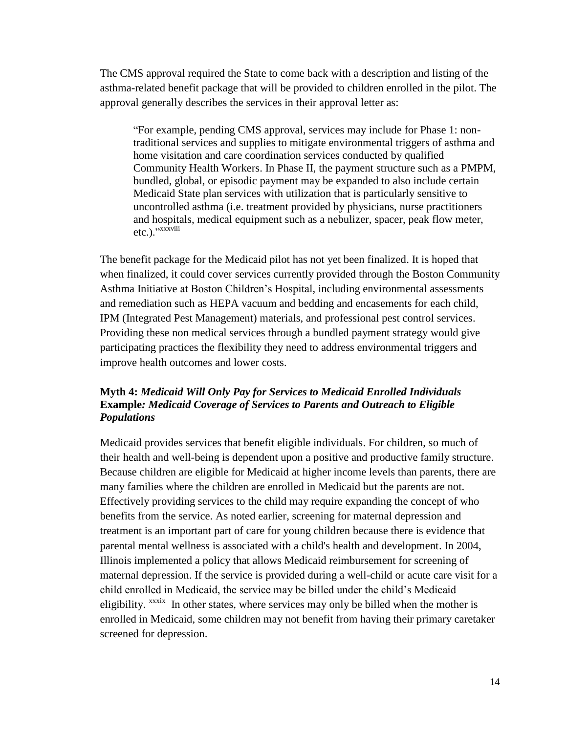The CMS approval required the State to come back with a description and listing of the asthma-related benefit package that will be provided to children enrolled in the pilot. The approval generally describes the services in their approval letter as:

"For example, pending CMS approval, services may include for Phase 1: nontraditional services and supplies to mitigate environmental triggers of asthma and home visitation and care coordination services conducted by qualified Community Health Workers. In Phase II, the payment structure such as a PMPM, bundled, global, or episodic payment may be expanded to also include certain Medicaid State plan services with utilization that is particularly sensitive to uncontrolled asthma (i.e. treatment provided by physicians, nurse practitioners and hospitals, medical equipment such as a nebulizer, spacer, peak flow meter, etc.)." xxxviii

The benefit package for the Medicaid pilot has not yet been finalized. It is hoped that when finalized, it could cover services currently provided through the Boston Community Asthma Initiative at Boston Children's Hospital, including environmental assessments and remediation such as HEPA vacuum and bedding and encasements for each child, IPM (Integrated Pest Management) materials, and professional pest control services. Providing these non medical services through a bundled payment strategy would give participating practices the flexibility they need to address environmental triggers and improve health outcomes and lower costs.

#### **Myth 4:** *Medicaid Will Only Pay for Services to Medicaid Enrolled Individuals* **Example***: Medicaid Coverage of Services to Parents and Outreach to Eligible Populations*

Medicaid provides services that benefit eligible individuals. For children, so much of their health and well-being is dependent upon a positive and productive family structure. Because children are eligible for Medicaid at higher income levels than parents, there are many families where the children are enrolled in Medicaid but the parents are not. Effectively providing services to the child may require expanding the concept of who benefits from the service. As noted earlier, screening for maternal depression and treatment is an important part of care for young children because there is evidence that parental mental wellness is associated with a child's health and development. In 2004, Illinois implemented a policy that allows Medicaid reimbursement for screening of maternal depression. If the service is provided during a well-child or acute care visit for a child enrolled in Medicaid, the service may be billed under the child's Medicaid eligibility. <sup>xxxix</sup> In other states, where services may only be billed when the mother is enrolled in Medicaid, some children may not benefit from having their primary caretaker screened for depression.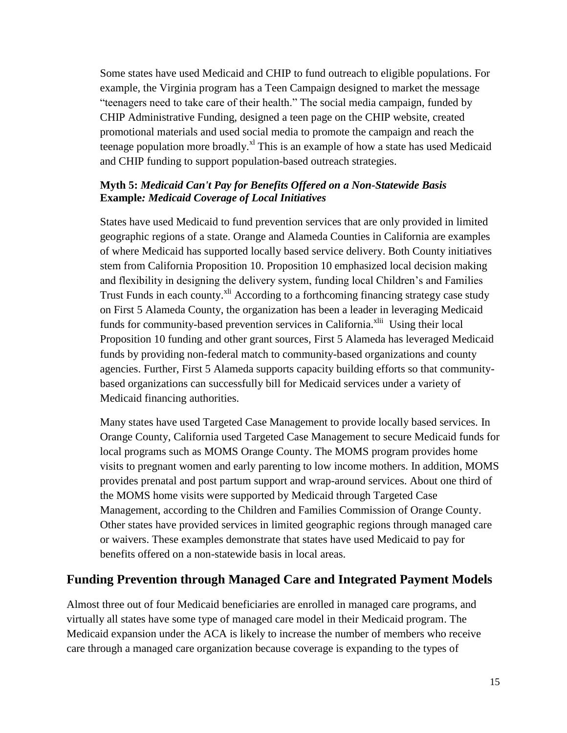Some states have used Medicaid and CHIP to fund outreach to eligible populations. For example, the Virginia program has a Teen Campaign designed to market the message "teenagers need to take care of their health." The social media campaign, funded by CHIP Administrative Funding, designed a teen page on the CHIP website, created promotional materials and used social media to promote the campaign and reach the teenage population more broadly.<sup>xl</sup> This is an example of how a state has used Medicaid and CHIP funding to support population-based outreach strategies.

### **Myth 5:** *Medicaid Can't Pay for Benefits Offered on a Non-Statewide Basis* **Example***: Medicaid Coverage of Local Initiatives*

States have used Medicaid to fund prevention services that are only provided in limited geographic regions of a state. Orange and Alameda Counties in California are examples of where Medicaid has supported locally based service delivery. Both County initiatives stem from California Proposition 10. Proposition 10 emphasized local decision making and flexibility in designing the delivery system, funding local Children's and Families Trust Funds in each county.<sup>xli</sup> According to a forthcoming financing strategy case study on First 5 Alameda County, the organization has been a leader in leveraging Medicaid funds for community-based prevention services in California.<sup>xlii</sup> Using their local Proposition 10 funding and other grant sources, First 5 Alameda has leveraged Medicaid funds by providing non-federal match to community-based organizations and county agencies. Further, First 5 Alameda supports capacity building efforts so that communitybased organizations can successfully bill for Medicaid services under a variety of Medicaid financing authorities.

Many states have used Targeted Case Management to provide locally based services. In Orange County, California used Targeted Case Management to secure Medicaid funds for local programs such as MOMS Orange County. The MOMS program provides home visits to pregnant women and early parenting to low income mothers. In addition, MOMS provides prenatal and post partum support and wrap-around services. About one third of the MOMS home visits were supported by Medicaid through Targeted Case Management, according to the Children and Families Commission of Orange County. Other states have provided services in limited geographic regions through managed care or waivers. These examples demonstrate that states have used Medicaid to pay for benefits offered on a non-statewide basis in local areas.

# **Funding Prevention through Managed Care and Integrated Payment Models**

Almost three out of four Medicaid beneficiaries are enrolled in managed care programs, and virtually all states have some type of managed care model in their Medicaid program. The Medicaid expansion under the ACA is likely to increase the number of members who receive care through a managed care organization because coverage is expanding to the types of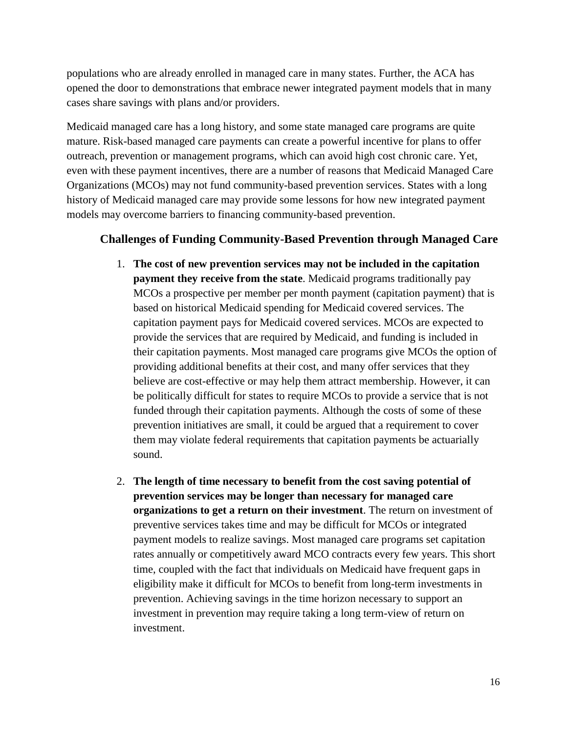populations who are already enrolled in managed care in many states. Further, the ACA has opened the door to demonstrations that embrace newer integrated payment models that in many cases share savings with plans and/or providers.

Medicaid managed care has a long history, and some state managed care programs are quite mature. Risk-based managed care payments can create a powerful incentive for plans to offer outreach, prevention or management programs, which can avoid high cost chronic care. Yet, even with these payment incentives, there are a number of reasons that Medicaid Managed Care Organizations (MCOs) may not fund community-based prevention services. States with a long history of Medicaid managed care may provide some lessons for how new integrated payment models may overcome barriers to financing community-based prevention.

### **Challenges of Funding Community-Based Prevention through Managed Care**

- 1. **The cost of new prevention services may not be included in the capitation payment they receive from the state**. Medicaid programs traditionally pay MCOs a prospective per member per month payment (capitation payment) that is based on historical Medicaid spending for Medicaid covered services. The capitation payment pays for Medicaid covered services. MCOs are expected to provide the services that are required by Medicaid, and funding is included in their capitation payments. Most managed care programs give MCOs the option of providing additional benefits at their cost, and many offer services that they believe are cost-effective or may help them attract membership. However, it can be politically difficult for states to require MCOs to provide a service that is not funded through their capitation payments. Although the costs of some of these prevention initiatives are small, it could be argued that a requirement to cover them may violate federal requirements that capitation payments be actuarially sound.
- 2. **The length of time necessary to benefit from the cost saving potential of prevention services may be longer than necessary for managed care organizations to get a return on their investment**. The return on investment of preventive services takes time and may be difficult for MCOs or integrated payment models to realize savings. Most managed care programs set capitation rates annually or competitively award MCO contracts every few years. This short time, coupled with the fact that individuals on Medicaid have frequent gaps in eligibility make it difficult for MCOs to benefit from long-term investments in prevention. Achieving savings in the time horizon necessary to support an investment in prevention may require taking a long term-view of return on investment.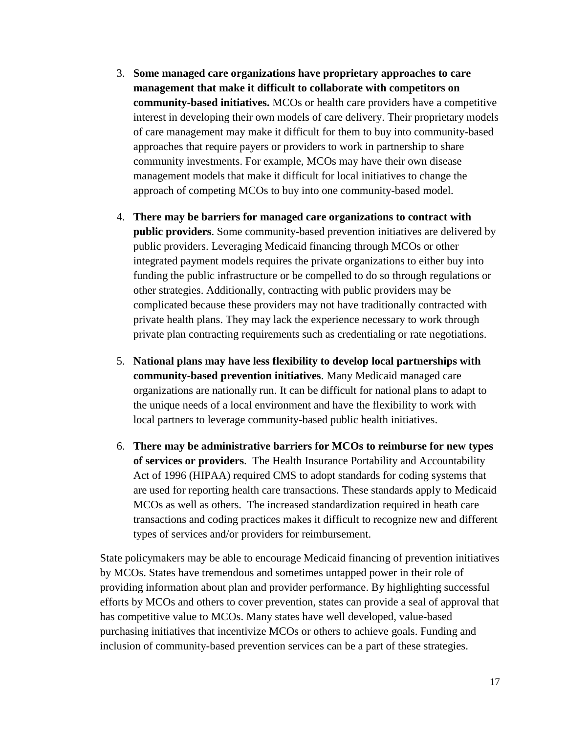- 3. **Some managed care organizations have proprietary approaches to care management that make it difficult to collaborate with competitors on community-based initiatives.** MCOs or health care providers have a competitive interest in developing their own models of care delivery. Their proprietary models of care management may make it difficult for them to buy into community-based approaches that require payers or providers to work in partnership to share community investments. For example, MCOs may have their own disease management models that make it difficult for local initiatives to change the approach of competing MCOs to buy into one community-based model.
- 4. **There may be barriers for managed care organizations to contract with public providers**. Some community-based prevention initiatives are delivered by public providers. Leveraging Medicaid financing through MCOs or other integrated payment models requires the private organizations to either buy into funding the public infrastructure or be compelled to do so through regulations or other strategies. Additionally, contracting with public providers may be complicated because these providers may not have traditionally contracted with private health plans. They may lack the experience necessary to work through private plan contracting requirements such as credentialing or rate negotiations.
- 5. **National plans may have less flexibility to develop local partnerships with community-based prevention initiatives**. Many Medicaid managed care organizations are nationally run. It can be difficult for national plans to adapt to the unique needs of a local environment and have the flexibility to work with local partners to leverage community-based public health initiatives.
- 6. **There may be administrative barriers for MCOs to reimburse for new types of services or providers**. The Health Insurance Portability and Accountability Act of 1996 (HIPAA) required CMS to adopt standards for coding systems that are used for reporting health care transactions. These standards apply to Medicaid MCOs as well as others. The increased standardization required in heath care transactions and coding practices makes it difficult to recognize new and different types of services and/or providers for reimbursement.

State policymakers may be able to encourage Medicaid financing of prevention initiatives by MCOs. States have tremendous and sometimes untapped power in their role of providing information about plan and provider performance. By highlighting successful efforts by MCOs and others to cover prevention, states can provide a seal of approval that has competitive value to MCOs. Many states have well developed, value-based purchasing initiatives that incentivize MCOs or others to achieve goals. Funding and inclusion of community-based prevention services can be a part of these strategies.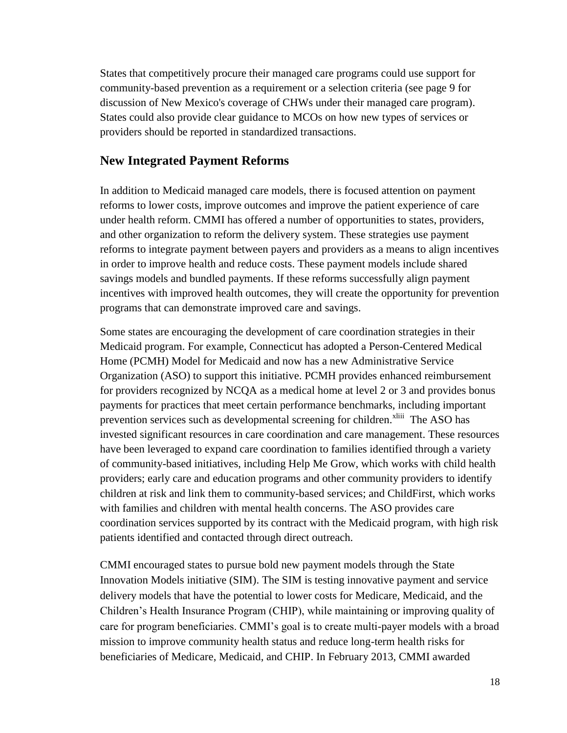States that competitively procure their managed care programs could use support for community-based prevention as a requirement or a selection criteria (see page 9 for discussion of New Mexico's coverage of CHWs under their managed care program). States could also provide clear guidance to MCOs on how new types of services or providers should be reported in standardized transactions.

### **New Integrated Payment Reforms**

In addition to Medicaid managed care models, there is focused attention on payment reforms to lower costs, improve outcomes and improve the patient experience of care under health reform. CMMI has offered a number of opportunities to states, providers, and other organization to reform the delivery system. These strategies use payment reforms to integrate payment between payers and providers as a means to align incentives in order to improve health and reduce costs. These payment models include shared savings models and bundled payments. If these reforms successfully align payment incentives with improved health outcomes, they will create the opportunity for prevention programs that can demonstrate improved care and savings.

Some states are encouraging the development of care coordination strategies in their Medicaid program. For example, Connecticut has adopted a Person-Centered Medical Home (PCMH) Model for Medicaid and now has a new Administrative Service Organization (ASO) to support this initiative. PCMH provides enhanced reimbursement for providers recognized by NCQA as a medical home at level 2 or 3 and provides bonus payments for practices that meet certain performance benchmarks, including important prevention services such as developmental screening for children.<sup>xliii</sup> The ASO has invested significant resources in care coordination and care management. These resources have been leveraged to expand care coordination to families identified through a variety of community-based initiatives, including Help Me Grow, which works with child health providers; early care and education programs and other community providers to identify children at risk and link them to community-based services; and ChildFirst, which works with families and children with mental health concerns. The ASO provides care coordination services supported by its contract with the Medicaid program, with high risk patients identified and contacted through direct outreach.

CMMI encouraged states to pursue bold new payment models through the State Innovation Models initiative (SIM). The SIM is testing innovative payment and service delivery models that have the potential to lower costs for Medicare, Medicaid, and the Children's Health Insurance Program (CHIP), while maintaining or improving quality of care for program beneficiaries. CMMI's goal is to create multi-payer models with a broad mission to improve community health status and reduce long-term health risks for beneficiaries of Medicare, Medicaid, and CHIP. In February 2013, CMMI awarded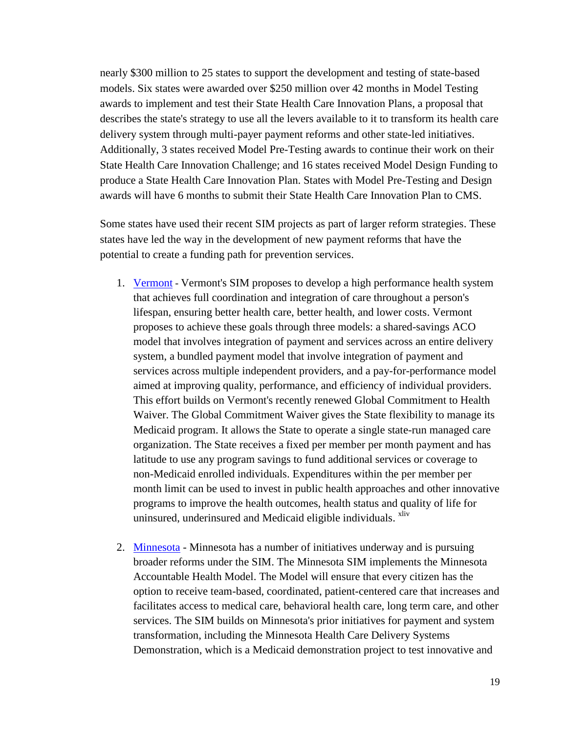nearly \$300 million to 25 states to support the development and testing of state-based models. Six states were awarded over \$250 million over 42 months in Model Testing awards to implement and test their State Health Care Innovation Plans, a proposal that describes the state's strategy to use all the levers available to it to transform its health care delivery system through multi-payer payment reforms and other state-led initiatives. Additionally, 3 states received Model Pre-Testing awards to continue their work on their State Health Care Innovation Challenge; and 16 states received Model Design Funding to produce a State Health Care Innovation Plan. States with Model Pre-Testing and Design awards will have 6 months to submit their State Health Care Innovation Plan to CMS.

Some states have used their recent SIM projects as part of larger reform strategies. These states have led the way in the development of new payment reforms that have the potential to create a funding path for prevention services.

- 1. [Vermont](http://dvha.vermont.gov/administration/2012-global-commitment-to-health-documents) Vermont's SIM proposes to develop a high performance health system that achieves full coordination and integration of care throughout a person's lifespan, ensuring better health care, better health, and lower costs. Vermont proposes to achieve these goals through three models: a shared-savings ACO model that involves integration of payment and services across an entire delivery system, a bundled payment model that involve integration of payment and services across multiple independent providers, and a pay-for-performance model aimed at improving quality, performance, and efficiency of individual providers. This effort builds on Vermont's recently renewed Global Commitment to Health Waiver. The Global Commitment Waiver gives the State flexibility to manage its Medicaid program. It allows the State to operate a single state-run managed care organization. The State receives a fixed per member per month payment and has latitude to use any program savings to fund additional services or coverage to non-Medicaid enrolled individuals. Expenditures within the per member per month limit can be used to invest in public health approaches and other innovative programs to improve the health outcomes, health status and quality of life for uninsured, underinsured and Medicaid eligible individuals. <sup>xliv</sup>
- 2. [Minnesota](http://www.dhs.state.mn.us/main/idcplg?IdcService=GET_DYNAMIC_CONVERSION&RevisionSelectionMethod=LatestReleased&dDocName=dhs16_166654) Minnesota has a number of initiatives underway and is pursuing broader reforms under the SIM. The Minnesota SIM implements the Minnesota Accountable Health Model. The Model will ensure that every citizen has the option to receive team-based, coordinated, patient-centered care that increases and facilitates access to medical care, behavioral health care, long term care, and other services. The SIM builds on Minnesota's prior initiatives for payment and system transformation, including the Minnesota Health Care Delivery Systems Demonstration, which is a Medicaid demonstration project to test innovative and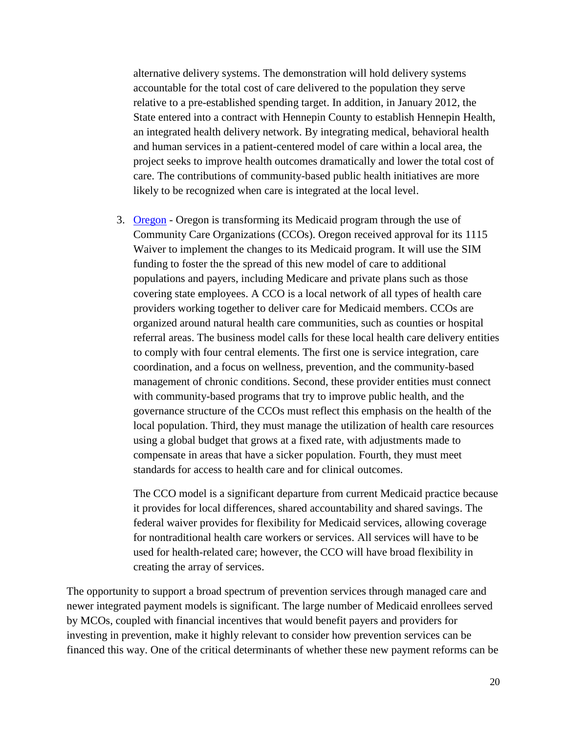alternative delivery systems. The demonstration will hold delivery systems accountable for the total cost of care delivered to the population they serve relative to a pre-established spending target. In addition, in January 2012, the State entered into a contract with Hennepin County to establish Hennepin Health, an integrated health delivery network. By integrating medical, behavioral health and human services in a patient-centered model of care within a local area, the project seeks to improve health outcomes dramatically and lower the total cost of care. The contributions of community-based public health initiatives are more likely to be recognized when care is integrated at the local level.

3. [Oregon](http://www.oregon.gov/oha/OHPB/Pages/health-reform/cms-waiver.aspx) - Oregon is transforming its Medicaid program through the use of Community Care Organizations (CCOs). Oregon received approval for its 1115 Waiver to implement the changes to its Medicaid program. It will use the SIM funding to foster the the spread of this new model of care to additional populations and payers, including Medicare and private plans such as those covering state employees. A CCO is a local network of all types of health care providers working together to deliver care for Medicaid members. CCOs are organized around natural health care communities, such as counties or hospital referral areas. The business model calls for these local health care delivery entities to comply with four central elements. The first one is service integration, care coordination, and a focus on wellness, prevention, and the community-based management of chronic conditions. Second, these provider entities must connect with community-based programs that try to improve public health, and the governance structure of the CCOs must reflect this emphasis on the health of the local population. Third, they must manage the utilization of health care resources using a global budget that grows at a fixed rate, with adjustments made to compensate in areas that have a sicker population. Fourth, they must meet standards for access to health care and for clinical outcomes.

The CCO model is a significant departure from current Medicaid practice because it provides for local differences, shared accountability and shared savings. The federal waiver provides for flexibility for Medicaid services, allowing coverage for nontraditional health care workers or services. All services will have to be used for health-related care; however, the CCO will have broad flexibility in creating the array of services.

The opportunity to support a broad spectrum of prevention services through managed care and newer integrated payment models is significant. The large number of Medicaid enrollees served by MCOs, coupled with financial incentives that would benefit payers and providers for investing in prevention, make it highly relevant to consider how prevention services can be financed this way. One of the critical determinants of whether these new payment reforms can be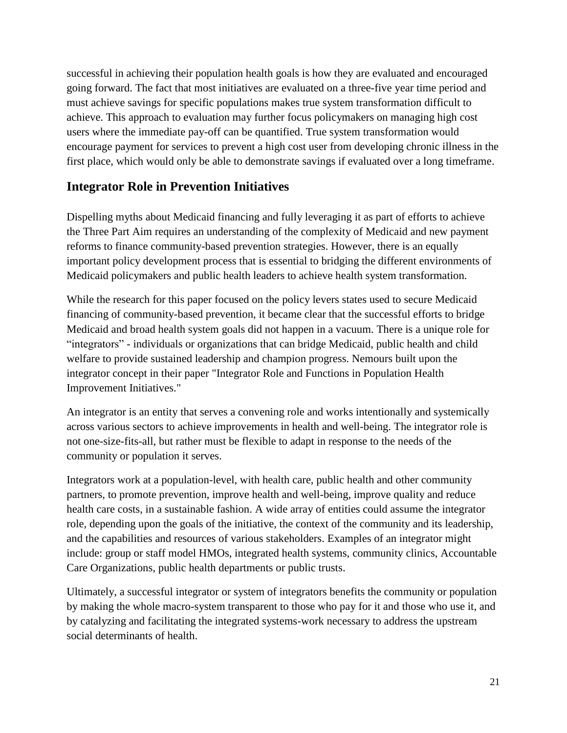successful in achieving their population health goals is how they are evaluated and encouraged going forward. The fact that most initiatives are evaluated on a three-five year time period and must achieve savings for specific populations makes true system transformation difficult to achieve. This approach to evaluation may further focus policymakers on managing high cost users where the immediate pay-off can be quantified. True system transformation would encourage payment for services to prevent a high cost user from developing chronic illness in the first place, which would only be able to demonstrate savings if evaluated over a long timeframe.

# **Integrator Role in Prevention Initiatives**

Dispelling myths about Medicaid financing and fully leveraging it as part of efforts to achieve the Three Part Aim requires an understanding of the complexity of Medicaid and new payment reforms to finance community-based prevention strategies. However, there is an equally important policy development process that is essential to bridging the different environments of Medicaid policymakers and public health leaders to achieve health system transformation.

While the research for this paper focused on the policy levers states used to secure Medicaid financing of community-based prevention, it became clear that the successful efforts to bridge Medicaid and broad health system goals did not happen in a vacuum. There is a unique role for "integrators" - individuals or organizations that can bridge Medicaid, public health and child welfare to provide sustained leadership and champion progress. Nemours built upon the integrator concept in their paper "Integrator Role and Functions in Population Health Improvement Initiatives."

An integrator is an entity that serves a convening role and works intentionally and systemically across various sectors to achieve improvements in health and well-being. The integrator role is not one-size-fits-all, but rather must be flexible to adapt in response to the needs of the community or population it serves.

Integrators work at a population-level, with health care, public health and other community partners, to promote prevention, improve health and well-being, improve quality and reduce health care costs, in a sustainable fashion. A wide array of entities could assume the integrator role, depending upon the goals of the initiative, the context of the community and its leadership, and the capabilities and resources of various stakeholders. Examples of an integrator might include: group or staff model HMOs, integrated health systems, community clinics, Accountable Care Organizations, public health departments or public trusts.

Ultimately, a successful integrator or system of integrators benefits the community or population by making the whole macro-system transparent to those who pay for it and those who use it, and by catalyzing and facilitating the integrated systems-work necessary to address the upstream social determinants of health.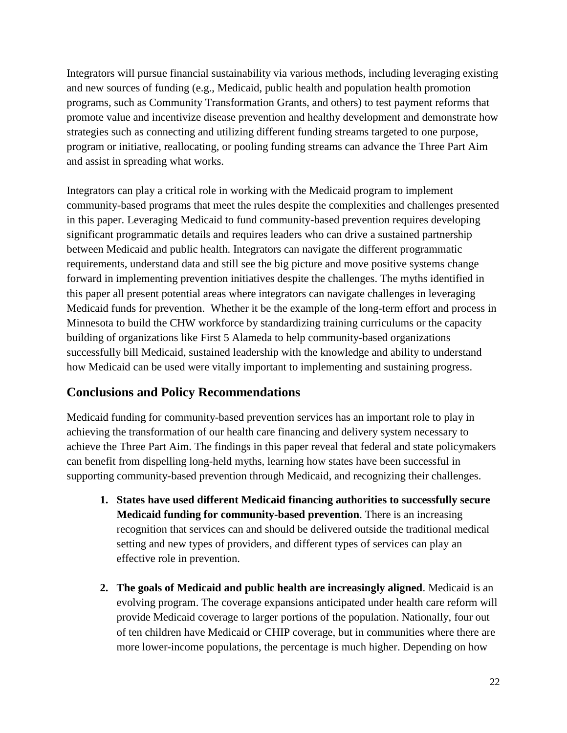Integrators will pursue financial sustainability via various methods, including leveraging existing and new sources of funding (e.g., Medicaid, public health and population health promotion programs, such as Community Transformation Grants, and others) to test payment reforms that promote value and incentivize disease prevention and healthy development and demonstrate how strategies such as connecting and utilizing different funding streams targeted to one purpose, program or initiative, reallocating, or pooling funding streams can advance the Three Part Aim and assist in spreading what works.

Integrators can play a critical role in working with the Medicaid program to implement community-based programs that meet the rules despite the complexities and challenges presented in this paper. Leveraging Medicaid to fund community-based prevention requires developing significant programmatic details and requires leaders who can drive a sustained partnership between Medicaid and public health. Integrators can navigate the different programmatic requirements, understand data and still see the big picture and move positive systems change forward in implementing prevention initiatives despite the challenges. The myths identified in this paper all present potential areas where integrators can navigate challenges in leveraging Medicaid funds for prevention. Whether it be the example of the long-term effort and process in Minnesota to build the CHW workforce by standardizing training curriculums or the capacity building of organizations like First 5 Alameda to help community-based organizations successfully bill Medicaid, sustained leadership with the knowledge and ability to understand how Medicaid can be used were vitally important to implementing and sustaining progress.

# **Conclusions and Policy Recommendations**

Medicaid funding for community-based prevention services has an important role to play in achieving the transformation of our health care financing and delivery system necessary to achieve the Three Part Aim. The findings in this paper reveal that federal and state policymakers can benefit from dispelling long-held myths, learning how states have been successful in supporting community-based prevention through Medicaid, and recognizing their challenges.

- **1. States have used different Medicaid financing authorities to successfully secure Medicaid funding for community-based prevention**. There is an increasing recognition that services can and should be delivered outside the traditional medical setting and new types of providers, and different types of services can play an effective role in prevention.
- **2. The goals of Medicaid and public health are increasingly aligned**. Medicaid is an evolving program. The coverage expansions anticipated under health care reform will provide Medicaid coverage to larger portions of the population. Nationally, four out of ten children have Medicaid or CHIP coverage, but in communities where there are more lower-income populations, the percentage is much higher. Depending on how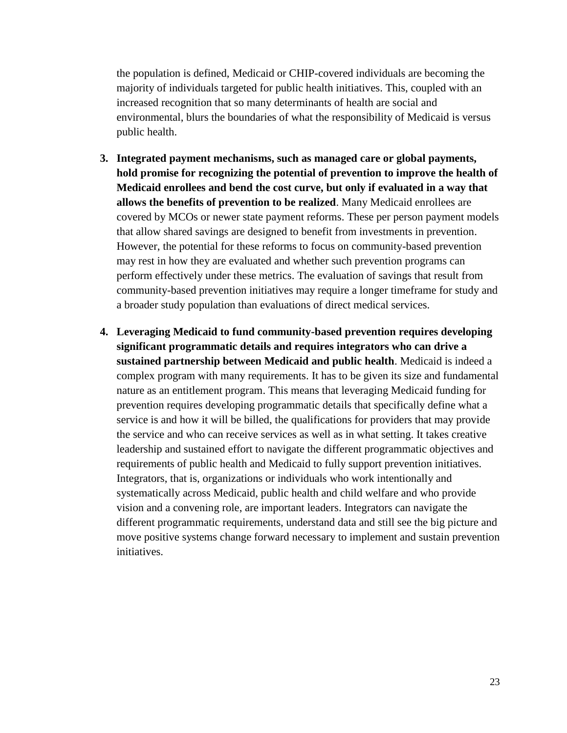the population is defined, Medicaid or CHIP-covered individuals are becoming the majority of individuals targeted for public health initiatives. This, coupled with an increased recognition that so many determinants of health are social and environmental, blurs the boundaries of what the responsibility of Medicaid is versus public health.

- **3. Integrated payment mechanisms, such as managed care or global payments, hold promise for recognizing the potential of prevention to improve the health of Medicaid enrollees and bend the cost curve, but only if evaluated in a way that allows the benefits of prevention to be realized**. Many Medicaid enrollees are covered by MCOs or newer state payment reforms. These per person payment models that allow shared savings are designed to benefit from investments in prevention. However, the potential for these reforms to focus on community-based prevention may rest in how they are evaluated and whether such prevention programs can perform effectively under these metrics. The evaluation of savings that result from community-based prevention initiatives may require a longer timeframe for study and a broader study population than evaluations of direct medical services.
- **4. Leveraging Medicaid to fund community-based prevention requires developing significant programmatic details and requires integrators who can drive a sustained partnership between Medicaid and public health**. Medicaid is indeed a complex program with many requirements. It has to be given its size and fundamental nature as an entitlement program. This means that leveraging Medicaid funding for prevention requires developing programmatic details that specifically define what a service is and how it will be billed, the qualifications for providers that may provide the service and who can receive services as well as in what setting. It takes creative leadership and sustained effort to navigate the different programmatic objectives and requirements of public health and Medicaid to fully support prevention initiatives. Integrators, that is, organizations or individuals who work intentionally and systematically across Medicaid, public health and child welfare and who provide vision and a convening role, are important leaders. Integrators can navigate the different programmatic requirements, understand data and still see the big picture and move positive systems change forward necessary to implement and sustain prevention initiatives.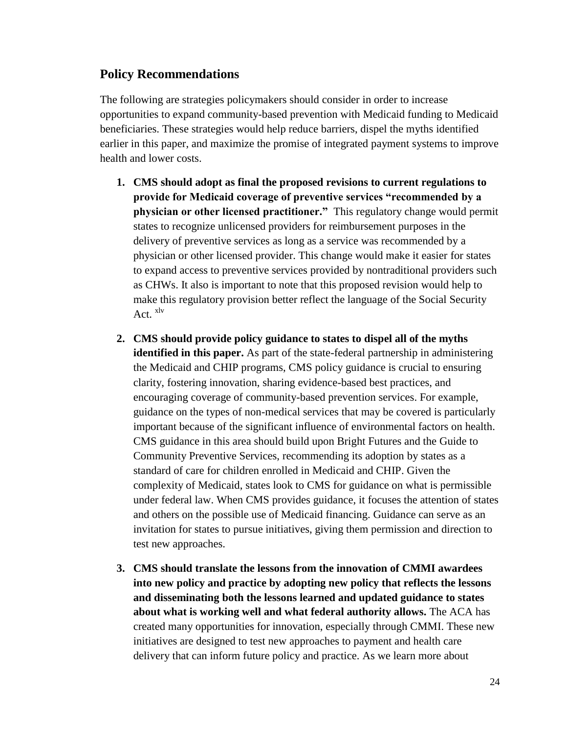### **Policy Recommendations**

The following are strategies policymakers should consider in order to increase opportunities to expand community-based prevention with Medicaid funding to Medicaid beneficiaries. These strategies would help reduce barriers, dispel the myths identified earlier in this paper, and maximize the promise of integrated payment systems to improve health and lower costs.

- **1. CMS should adopt as final the proposed revisions to current regulations to provide for Medicaid coverage of preventive services "recommended by a physician or other licensed practitioner."** This regulatory change would permit states to recognize unlicensed providers for reimbursement purposes in the delivery of preventive services as long as a service was recommended by a physician or other licensed provider. This change would make it easier for states to expand access to preventive services provided by nontraditional providers such as CHWs. It also is important to note that this proposed revision would help to make this regulatory provision better reflect the language of the Social Security Act.  $x^{\text{dv}}$
- **2. CMS should provide policy guidance to states to dispel all of the myths identified in this paper.** As part of the state-federal partnership in administering the Medicaid and CHIP programs, CMS policy guidance is crucial to ensuring clarity, fostering innovation, sharing evidence-based best practices, and encouraging coverage of community-based prevention services. For example, guidance on the types of non-medical services that may be covered is particularly important because of the significant influence of environmental factors on health. CMS guidance in this area should build upon Bright Futures and the Guide to Community Preventive Services, recommending its adoption by states as a standard of care for children enrolled in Medicaid and CHIP. Given the complexity of Medicaid, states look to CMS for guidance on what is permissible under federal law. When CMS provides guidance, it focuses the attention of states and others on the possible use of Medicaid financing. Guidance can serve as an invitation for states to pursue initiatives, giving them permission and direction to test new approaches.
- **3. CMS should translate the lessons from the innovation of CMMI awardees into new policy and practice by adopting new policy that reflects the lessons and disseminating both the lessons learned and updated guidance to states about what is working well and what federal authority allows.** The ACA has created many opportunities for innovation, especially through CMMI. These new initiatives are designed to test new approaches to payment and health care delivery that can inform future policy and practice. As we learn more about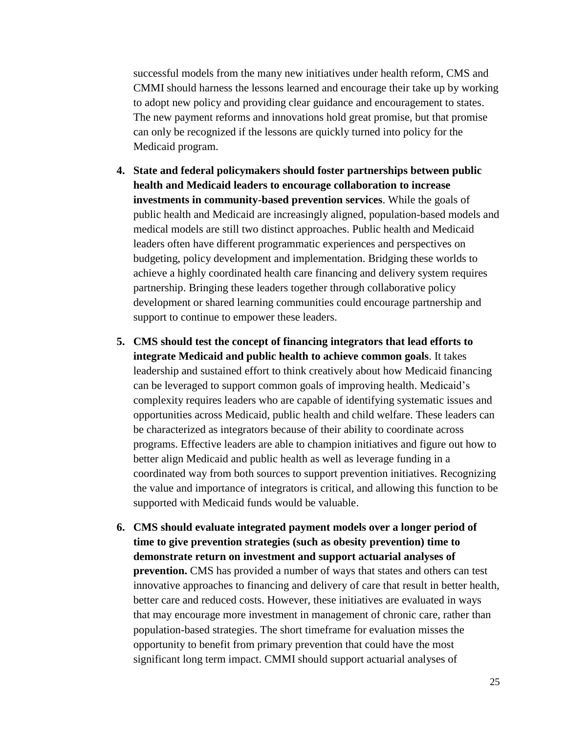successful models from the many new initiatives under health reform, CMS and CMMI should harness the lessons learned and encourage their take up by working to adopt new policy and providing clear guidance and encouragement to states. The new payment reforms and innovations hold great promise, but that promise can only be recognized if the lessons are quickly turned into policy for the Medicaid program.

- **4. State and federal policymakers should foster partnerships between public health and Medicaid leaders to encourage collaboration to increase investments in community-based prevention services**. While the goals of public health and Medicaid are increasingly aligned, population-based models and medical models are still two distinct approaches. Public health and Medicaid leaders often have different programmatic experiences and perspectives on budgeting, policy development and implementation. Bridging these worlds to achieve a highly coordinated health care financing and delivery system requires partnership. Bringing these leaders together through collaborative policy development or shared learning communities could encourage partnership and support to continue to empower these leaders.
- **5. CMS should test the concept of financing integrators that lead efforts to integrate Medicaid and public health to achieve common goals**. It takes leadership and sustained effort to think creatively about how Medicaid financing can be leveraged to support common goals of improving health. Medicaid's complexity requires leaders who are capable of identifying systematic issues and opportunities across Medicaid, public health and child welfare. These leaders can be characterized as integrators because of their ability to coordinate across programs. Effective leaders are able to champion initiatives and figure out how to better align Medicaid and public health as well as leverage funding in a coordinated way from both sources to support prevention initiatives. Recognizing the value and importance of integrators is critical, and allowing this function to be supported with Medicaid funds would be valuable.
- **6. CMS should evaluate integrated payment models over a longer period of time to give prevention strategies (such as obesity prevention) time to demonstrate return on investment and support actuarial analyses of prevention.** CMS has provided a number of ways that states and others can test innovative approaches to financing and delivery of care that result in better health, better care and reduced costs. However, these initiatives are evaluated in ways that may encourage more investment in management of chronic care, rather than population-based strategies. The short timeframe for evaluation misses the opportunity to benefit from primary prevention that could have the most significant long term impact. CMMI should support actuarial analyses of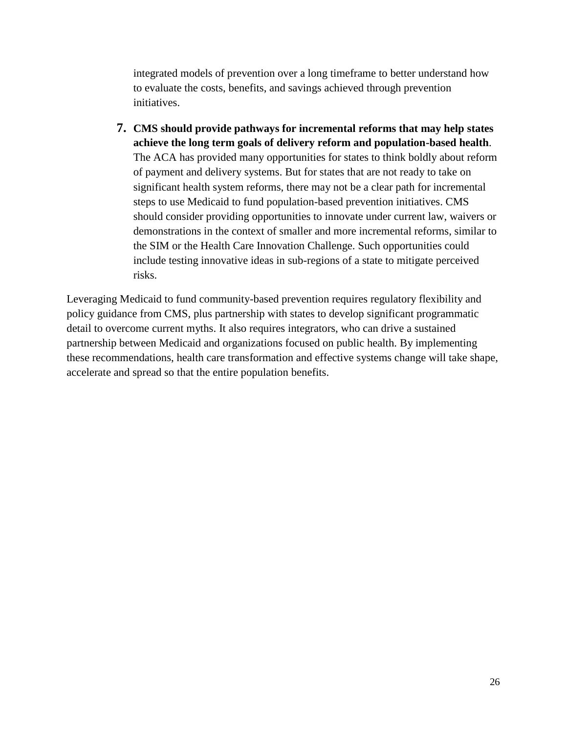integrated models of prevention over a long timeframe to better understand how to evaluate the costs, benefits, and savings achieved through prevention initiatives.

**7. CMS should provide pathways for incremental reforms that may help states achieve the long term goals of delivery reform and population-based health**. The ACA has provided many opportunities for states to think boldly about reform of payment and delivery systems. But for states that are not ready to take on significant health system reforms, there may not be a clear path for incremental steps to use Medicaid to fund population-based prevention initiatives. CMS should consider providing opportunities to innovate under current law, waivers or demonstrations in the context of smaller and more incremental reforms, similar to the SIM or the Health Care Innovation Challenge. Such opportunities could include testing innovative ideas in sub-regions of a state to mitigate perceived risks.

Leveraging Medicaid to fund community-based prevention requires regulatory flexibility and policy guidance from CMS, plus partnership with states to develop significant programmatic detail to overcome current myths. It also requires integrators, who can drive a sustained partnership between Medicaid and organizations focused on public health. By implementing these recommendations, health care transformation and effective systems change will take shape, accelerate and spread so that the entire population benefits.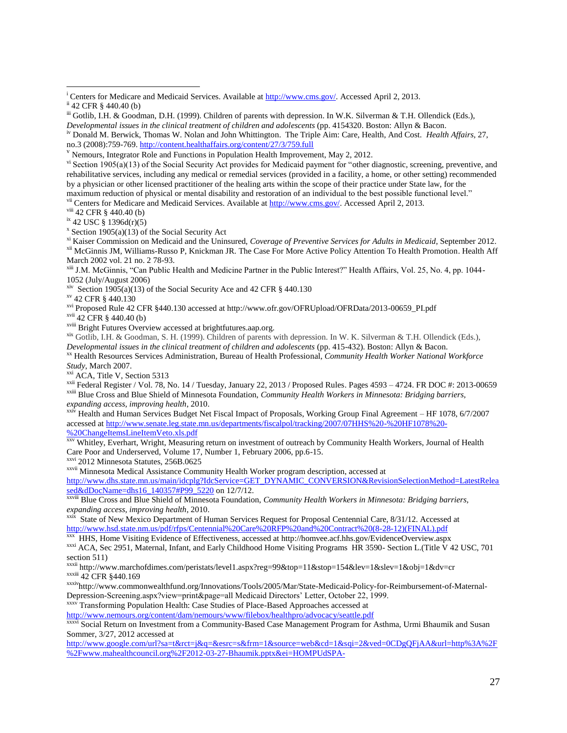v<sup>ii</sup> Centers for Medicare and Medicaid Services. Available at [http://www.cms.gov/.](http://www.cms.gov/) Accessed April 2, 2013.

viii 42 CFR § 440.40 (b)

ix 42 USC § 1396d(r)(5)

xi Kaiser Commission on Medicaid and the Uninsured, *Coverage of Preventive Services for Adults in Medicaid*, September 2012. <sup>xii</sup> McGinnis JM, Williams-Russo P, Knickman JR. The Case For More Active Policy Attention To Health Promotion. Health Aff March 2002 vol. 21 no. 2 78-93.

xiii J.M. McGinnis, "Can Public Health and Medicine Partner in the Public Interest?" Health Affairs, Vol. 25, No. 4, pp. 1044- 1052 (July/August 2006)

xiv Section 1905(a)(13) of the Social Security Ace and 42 CFR  $\S$  440.130

xv 42 CFR § 440.130

xvi Proposed Rule 42 CFR §440.130 accessed at http://www.ofr.gov/OFRUpload/OFRData/2013-00659\_PI.pdf

xvii 42 CFR § 440.40 (b)

xviii Bright Futures Overview accessed at brightfutures.aap.org.

xix Gotlib, I.H. & Goodman, S. H. (1999). Children of parents with depression. In W. K. Silverman & T.H. Ollendick (Eds.), *Developmental issues in the clinical treatment of children and adolescents* (pp. 415-432). Boston: Allyn & Bacon.

xx Health Resources Services Administration, Bureau of Health Professional, *Community Health Worker National Workforce Study*, March 2007.

xxi ACA, Title V, Section 5313

xxii Federal Register / Vol. 78, No. 14 / Tuesday, January 22, 2013 / Proposed Rules. Pages 4593 – 4724. FR DOC #: 2013-00659 xxiii Blue Cross and Blue Shield of Minnesota Foundation, *Community Health Workers in Minnesota: Bridging barriers, expanding access, improving health*, 2010.

xxiv Health and Human Services Budget Net Fiscal Impact of Proposals, Working Group Final Agreement – HF 1078, 6/7/2007 accessed a[t http://www.senate.leg.state.mn.us/departments/fiscalpol/tracking/2007/07HHS%20-%20HF1078%20-](http://www.senate.leg.state.mn.us/departments/fiscalpol/tracking/2007/07HHS%20-%20HF1078%20-%20ChangeItemsLineItemVeto.xls.pdf)

[%20ChangeItemsLineItemVeto.xls.pdf](http://www.senate.leg.state.mn.us/departments/fiscalpol/tracking/2007/07HHS%20-%20HF1078%20-%20ChangeItemsLineItemVeto.xls.pdf)

XXV Whitley, Everhart, Wright, Measuring return on investment of outreach by Community Health Workers, Journal of Health Care Poor and Underserved, Volume 17, Number 1, February 2006, pp.6-15.

xxvi 2012 Minnesota Statutes, 256B.0625

xxvii Minnesota Medical Assistance Community Health Worker program description, accessed at

[http://www.dhs.state.mn.us/main/idcplg?IdcService=GET\\_DYNAMIC\\_CONVERSION&RevisionSelectionMethod=LatestRelea](http://www.dhs.state.mn.us/main/idcplg?IdcService=GET_DYNAMIC_CONVERSION&RevisionSelectionMethod=LatestReleased&dDocName=dhs16_140357#P99_5220) [sed&dDocName=dhs16\\_140357#P99\\_5220](http://www.dhs.state.mn.us/main/idcplg?IdcService=GET_DYNAMIC_CONVERSION&RevisionSelectionMethod=LatestReleased&dDocName=dhs16_140357#P99_5220) on 12/7/12.

xxviii Blue Cross and Blue Shield of Minnesota Foundation, *Community Health Workers in Minnesota: Bridging barriers, expanding access, improving health*, 2010.

<sup>xxix</sup> State of New Mexico Department of Human Services Request for Proposal Centennial Care, 8/31/12. Accessed at [http://www.hsd.state.nm.us/pdf/rfps/Centennial%20Care%20RFP%20and%20Contract%20\(8-28-12\)\(FINAL\).pdf](http://www.hsd.state.nm.us/pdf/rfps/Centennial%20Care%20RFP%20and%20Contract%20(8-28-12)(FINAL).pdf)

xxx HHS, Home Visiting Evidence of Effectiveness, accessed at http://homvee.acf.hhs.gov/EvidenceOverview.aspx

xxxi ACA, Sec 2951, Maternal, Infant, and Early Childhood Home Visiting Programs HR 3590- Section L.(Title V 42 USC, 701 section 511)

xxxii http://www.marchofdimes.com/peristats/level1.aspx?reg=99&top=11&stop=154&lev=1&slev=1&obj=1&dv=cr xxxiii 42 CFR §440.169

xxxivhttp://www.commonwealthfund.org/Innovations/Tools/2005/Mar/State-Medicaid-Policy-for-Reimbursement-of-Maternal-Depression-Screening.aspx?view=print&page=all Medicaid Directors' Letter, October 22, 1999.

xxxv Transforming Population Health: Case Studies of Place-Based Approaches accessed at

<http://www.nemours.org/content/dam/nemours/www/filebox/healthpro/advocacy/seattle.pdf>

<sup>xxxvi</sup> Social Return on Investment from a Community-Based Case Management Program for Asthma, Urmi Bhaumik and Susan Sommer, 3/27, 2012 accessed at

[http://www.google.com/url?sa=t&rct=j&q=&esrc=s&frm=1&source=web&cd=1&sqi=2&ved=0CDgQFjAA&url=http%3A%2F](http://www.google.com/url?sa=t&rct=j&q=&esrc=s&frm=1&source=web&cd=1&sqi=2&ved=0CDgQFjAA&url=http%3A%2F%2Fwww.mahealthcouncil.org%2F2012-03-27-Bhaumik.pptx&ei=HOMPUdSPA-qP0QHuvIGgBA&usg=AFQjCNEDe2HYL0tz4yjbkazN5xGu71_Csw&sig2=m2D2QVMRBjcaN1ZbssABWA&bvm=bv.41867550,d.dmg) [%2Fwww.mahealthcouncil.org%2F2012-03-27-Bhaumik.pptx&ei=HOMPUdSPA-](http://www.google.com/url?sa=t&rct=j&q=&esrc=s&frm=1&source=web&cd=1&sqi=2&ved=0CDgQFjAA&url=http%3A%2F%2Fwww.mahealthcouncil.org%2F2012-03-27-Bhaumik.pptx&ei=HOMPUdSPA-qP0QHuvIGgBA&usg=AFQjCNEDe2HYL0tz4yjbkazN5xGu71_Csw&sig2=m2D2QVMRBjcaN1ZbssABWA&bvm=bv.41867550,d.dmg)

 $\overline{\phantom{a}}$ <sup>i</sup> Centers for Medicare and Medicaid Services. Available at [http://www.cms.gov/.](http://www.cms.gov/) Accessed April 2, 2013. ii 42 CFR § 440.40 (b)

iii Gotlib, I.H. & Goodman, D.H. (1999). Children of parents with depression. In W.K. Silverman & T.H. Ollendick (Eds.), *Developmental issues in the clinical treatment of children and adolescents* (pp. 4154320. Boston: Allyn & Bacon.

iv Donald M. Berwick, Thomas W. Nolan and John Whittington. The Triple Aim: Care, Health, And Cost. *Health Affairs,* 27, no.3 (2008):759-769.<http://content.healthaffairs.org/content/27/3/759.full>

 $\rm v$  Nemours, Integrator Role and Functions in Population Health Improvement, May 2, 2012.

 $v_i$  Section 1905(a)(13) of the Social Security Act provides for Medicaid payment for "other diagnostic, screening, preventive, and rehabilitative services, including any medical or remedial services (provided in a facility, a home, or other setting) recommended by a physician or other licensed practitioner of the healing arts within the scope of their practice under State law, for the maximum reduction of physical or mental disability and restoration of an individual to the best possible functional level."

 $x \cdot$  Section 1905(a)(13) of the Social Security Act